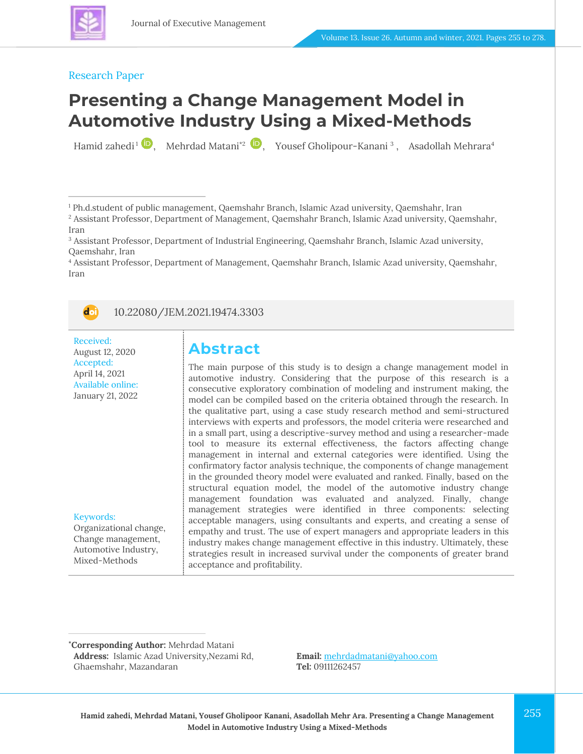

#### Research Paper

# **Presenting a Change Management Model in Automotive Industry Using a Mixed-Methods**

Hamid zahedi<sup>1</sup> (1[,](https://www.orcid.org/0000-0002-3498-7339)4), Mehrdad Matani<sup>\*2</sup> (1,4), Yousef Gholipour-Kanani<sup>3</sup>, Asadollah Mehrara<sup>4</sup>

<sup>4</sup> Assistant Professor, Department of Management, Qaemshahr Branch, Islamic Azad university, Qaemshahr, Iran



#### 10.22080/JEM.2021.19474.3303

Received: August 12, 2020 Accepted: April 14, 2021 Available online: January 21, 2022

Keywords:

Organizational change, Change management, Automotive Industry, Mixed-Methods

### **Abstract**

The main purpose of this study is to design a change management model in automotive industry. Considering that the purpose of this research is a consecutive exploratory combination of modeling and instrument making, the model can be compiled based on the criteria obtained through the research. In the qualitative part, using a case study research method and semi-structured interviews with experts and professors, the model criteria were researched and in a small part, using a descriptive-survey method and using a researcher-made tool to measure its external effectiveness, the factors affecting change management in internal and external categories were identified. Using the confirmatory factor analysis technique, the components of change management in the grounded theory model were evaluated and ranked. Finally, based on the structural equation model, the model of the automotive industry change management foundation was evaluated and analyzed. Finally, change management strategies were identified in three components: selecting acceptable managers, using consultants and experts, and creating a sense of empathy and trust. The use of expert managers and appropriate leaders in this industry makes change management effective in this industry. Ultimately, these strategies result in increased survival under the components of greater brand acceptance and profitability.

**\*Corresponding Author:** Mehrdad Matani **Address:** Islamic Azad University,Nezami Rd, Ghaemshahr, Mazandaran

**Email:** [mehrdadmatani@yahoo.com](mailto:mehrdadmatani@yahoo.com) **Tel:** 09111262457

<sup>1</sup> Ph.d.student of public management, Qaemshahr Branch, Islamic Azad university, Qaemshahr, Iran

<sup>2</sup> Assistant Professor, Department of Management, Qaemshahr Branch, Islamic Azad university, Qaemshahr, Iran

<sup>3</sup> Assistant Professor, Department of Industrial Engineering, Qaemshahr Branch, Islamic Azad university, Qaemshahr, Iran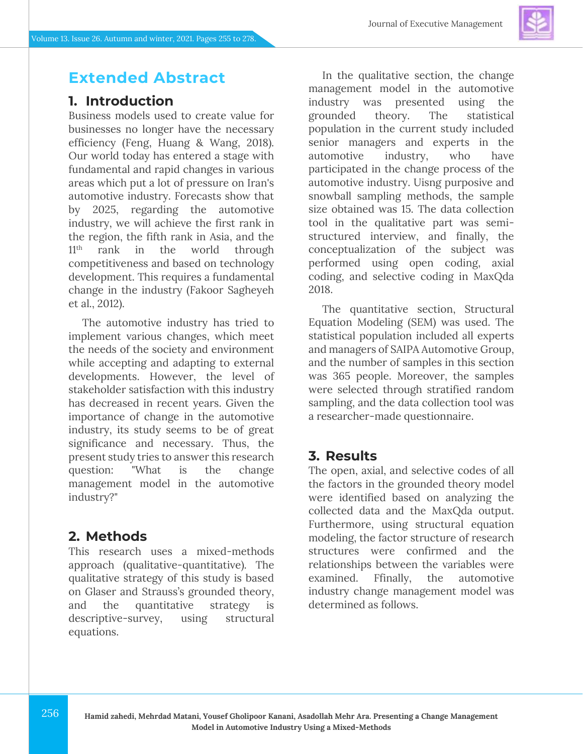### **Extended Abstract**

### **1. Introduction**

Business models used to create value for businesses no longer have the necessary efficiency (Feng, Huang & Wang, 2018). Our world today has entered a stage with fundamental and rapid changes in various areas which put a lot of pressure on Iran's automotive industry. Forecasts show that by 2025, regarding the automotive industry, we will achieve the first rank in the region, the fifth rank in Asia, and the 11<sup>th</sup> rank in the world through competitiveness and based on technology development. This requires a fundamental change in the industry (Fakoor Sagheyeh et al., 2012).

The automotive industry has tried to implement various changes, which meet the needs of the society and environment while accepting and adapting to external developments. However, the level of stakeholder satisfaction with this industry has decreased in recent years. Given the importance of change in the automotive industry, its study seems to be of great significance and necessary. Thus, the present study tries to answer this research question: "What is the change management model in the automotive industry?"

#### **2. Methods**

This research uses a mixed-methods approach (qualitative-quantitative). The qualitative strategy of this study is based on Glaser and Strauss's grounded theory, and the quantitative strategy is descriptive-survey, using structural equations.

In the qualitative section, the change management model in the automotive industry was presented using the grounded theory. The statistical population in the current study included senior managers and experts in the automotive industry, who have participated in the change process of the automotive industry. Uisng purposive and snowball sampling methods, the sample size obtained was 15. The data collection tool in the qualitative part was semistructured interview, and finally, the conceptualization of the subject was performed using open coding, axial coding, and selective coding in MaxQda 2018.

The quantitative section, Structural Equation Modeling (SEM) was used. The statistical population included all experts and managers of SAIPA Automotive Group, and the number of samples in this section was 365 people. Moreover, the samples were selected through stratified random sampling, and the data collection tool was a researcher-made questionnaire.

#### **3. Results**

The open, axial, and selective codes of all the factors in the grounded theory model were identified based on analyzing the collected data and the MaxQda output. Furthermore, using structural equation modeling, the factor structure of research structures were confirmed and the relationships between the variables were examined. Ffinally, the automotive industry change management model was determined as follows.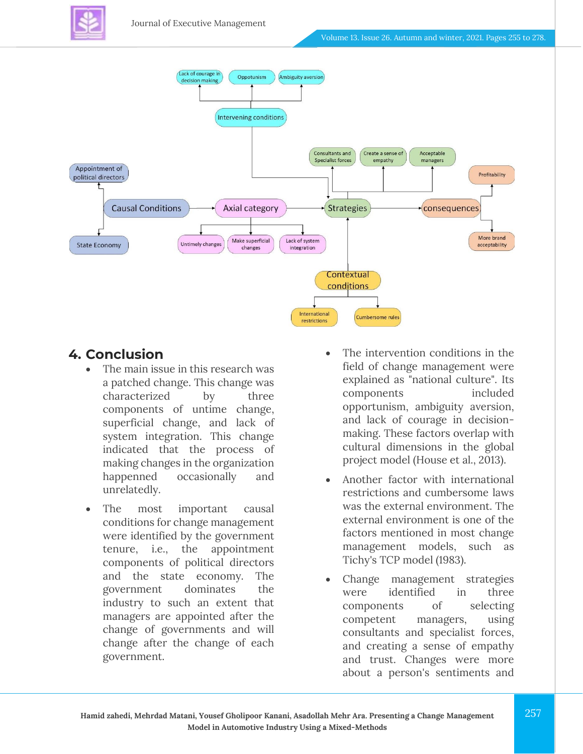



### **4. Conclusion**

- The main issue in this research was a patched change. This change was characterized by three components of untime change, superficial change, and lack of system integration. This change indicated that the process of making changes in the organization happenned occasionally and unrelatedly.
- The most important causal conditions for change management were identified by the government tenure, i.e., the appointment components of political directors and the state economy. The government dominates the industry to such an extent that managers are appointed after the change of governments and will change after the change of each government.
- The intervention conditions in the field of change management were explained as "national culture". Its components included opportunism, ambiguity aversion, and lack of courage in decisionmaking. These factors overlap with cultural dimensions in the global project model (House et al., 2013).
- Another factor with international restrictions and cumbersome laws was the external environment. The external environment is one of the factors mentioned in most change management models, such as Tichy's TCP model (1983).
- Change management strategies were identified in three components of selecting competent managers, using consultants and specialist forces, and creating a sense of empathy and trust. Changes were more about a person's sentiments and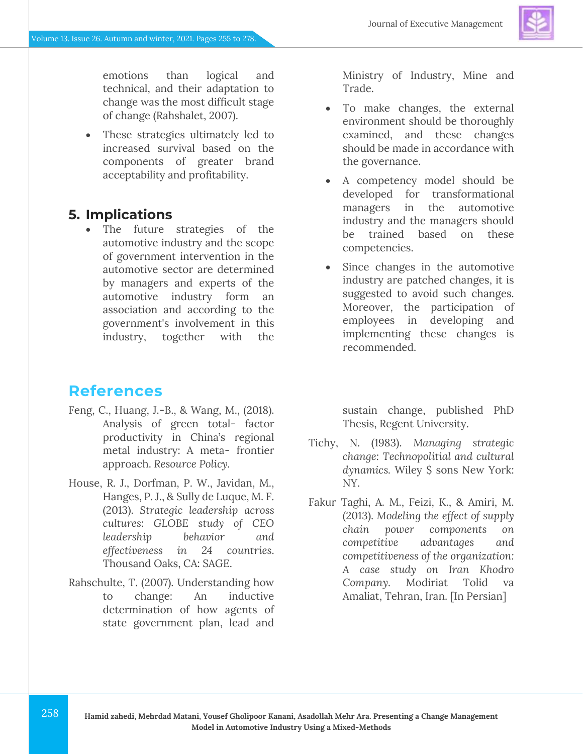emotions than logical and technical, and their adaptation to change was the most difficult stage of change (Rahshalet, 2007).

• These strategies ultimately led to increased survival based on the components of greater brand acceptability and profitability.

### **5. Implications**

• The future strategies of the automotive industry and the scope of government intervention in the automotive sector are determined by managers and experts of the automotive industry form an association and according to the government's involvement in this industry, together with the

### **References**

- Feng, C., Huang, J.-B., & Wang, M., (2018). Analysis of green total- factor productivity in China's regional metal industry: A meta- frontier approach. *Resource Policy.*
- House, R. J., Dorfman, P. W., Javidan, M., Hanges, P. J., & Sully de Luque, M. F. (2013). *Strategic leadership across cultures: GLOBE study of CEO leadership behavior and effectiveness in 24 countries*. Thousand Oaks, CA: SAGE.
- Rahschulte, T. (2007). Understanding how to change: An inductive determination of how agents of state government plan, lead and

Ministry of Industry, Mine and Trade.

- To make changes, the external environment should be thoroughly examined, and these changes should be made in accordance with the governance.
- A competency model should be developed for transformational managers in the automotive industry and the managers should be trained based on these competencies.
- Since changes in the automotive industry are patched changes, it is suggested to avoid such changes. Moreover, the participation of employees in developing and implementing these changes is recommended.

sustain change, published PhD Thesis, Regent University.

- Tichy, N. (1983). *Managing strategic change: Technopolitial and cultural dynamics.* Wiley \$ sons New York: NY.
- Fakur Taghi, A. M., Feizi, K., & Amiri, M. (2013). *Modeling the effect of supply chain power components on competitive advantages and competitiveness of the organization: A case study on Iran Khodro Company.* Modiriat Tolid va Amaliat, Tehran, Iran. [In Persian]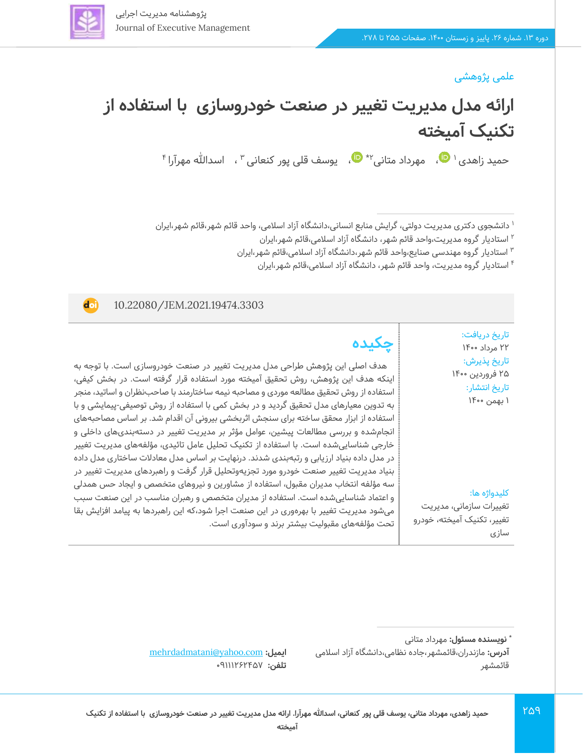

# **ارائه مدل مدیریت تغییر در صنعت خودروسازی با استفاده از تکنیک آمیخته**

حمید زاهدی العلل مهرداد متانی ا $\Psi^*$  ها [،](https://www.orcid.org/0000-0002-3498-7339) یوسف قلی پور کنعانی الله سلالله مهرآرا

1 دانشجوی دکتری مدیریت دولتی، گرایش منابع انسانی،دانشگاه آزاد اسالمی، واحد قائم شهر،قائم شهر،ایران

2 استادیار گروه مدیریت،واحد قائم شهر، دانشگاه آزاد اسالمی،قائم شهر،ایران

استادیار گروه مهندسی صنایع،واحد قائم شهر،دانشگاه آزاد اسالمی،قائم شهر،ایران <sup>3</sup>

4 استادیار گروه مدیریت، واحد قائم شهر، دانشگاه آزاد اسالمی،قائم شهر،ایران

#### 10.22080/JEM.2021.19474.3303

**d**oi

تاریخ دریافت: 22 مرداد 1400 تاریخ پذیرش : ۲۵ فروردین ۱۴۰۰ تاریخ انتشار: 1 بهمن 1400

کلیدواژه ها:

سازی

تغییرات سازمانی، مدیریت تغییر، تکنیک آمیخته، خودرو

259

# **چکیده**

 هدف اصلی این پژوهش طراحی مدل مدیریت تغییر در صنعت خودروسازی است. با توجه به اینکه هدف این پژوهش، روش تحقیق آمیخته مورد استفاده قرار گرفته است. در بخش کیفی، استفاده از روش تحقیق مطالعه موردی و مصاحبه نیمه ساختارمند با صاحبنظران و اساتید، منجر به تدوین معیارهای مدل تحقیق گردید و در بخش کمی با استفاده از روش توصیفی-پیمایشی و با استفاده از ابزار محقق ساخته برای سنجش اثربخشی بیرونی آن اقدام شد. بر اساس مصاحبههای انجامشده و بررسی مطالعات پیشین، عوامل مؤثر بر مدیریت تغییر در دستهبندیهای داخلی و خارجی شناساییشده است. با استفاده از تکنیک تحلیل عامل تائیدی، مؤلفههای مدیریت تغییر در مدل داده بنیاد ارزیابی و رتبهبندی شدند. درنهایت بر اساس مدل معادالت ساختاری مدل داده بنیاد مدیریت تغییر صنعت خودرو مورد تجزیهوتحلیل قرار گرفت و راهبردهای مدیریت تغییر در سه مؤلفه انتخاب مدیران مقبول، استفاده از مشاورین و نیروهای متخصص و ایجاد حس همدلی و اعتماد شناساییشده است. استفاده از مدیران متخصص و رهبران مناسب در این صنعت سبب میشود مدیریت تغییر با بهرهوری در این صنعت اجرا شود،که این راهبردها به پیامد افزایش بقا تحت مؤلفههای مقبولیت بیشتر برند و سودآوری است.

[mehrdadmatani@yahoo.com](mailto:mehrdadmatani@yahoo.com) **:ایمیل** تلفن: **09111727464** 

**<sup>\*</sup> نویسنده مسئول :** مهرداد متانی **آدرس:** مازندران،قائمشهر،جاده نظامی،دانشگاه آزاد اسالمی قائمشهر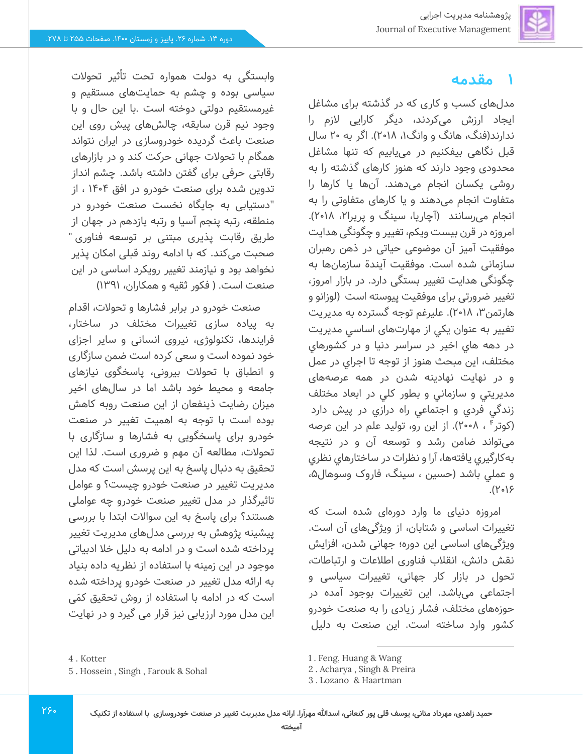# **1 مقدمه**

مدل های کسب و کاری که در گذشته برای مشاغل ایجاد ارزش می کردند، د یگر کارایی الزم را ندارند(فنگ، هانگ و وانگ۱، ۲۰۱۸). اگر به ۲۰ سال قبل نگاهی بیفکنیم در می،یابیم که تنها مشاغل محدودی وجود دارند که هنوز کارهای گذشته را به روشی یکسان انجام م ی دهند. آنها یا کارها را متفاوت انجام می دهند و یا کارهای متفاوتی را به انجام می رسانند (آچاریا، سینگ و پریرا۲، ۲۰۱۸). امروزه در قرن بیست ویکم، تغییر و چگونگی هدای ت موفقیت آمیز آن موضوعی حیاتی در ذهن رهبران سازمانی شده است. موفقیت آیندة سازمانها به چگونگی هدایت تغییر بستگی دارد. در بازار امروز، تغییر ضرورتی برای موفقیت پیوسته است )لوزانو و هارتمن ،3 2018(. عليرغم توجه گسترده به مديريت تغيير به عنوان يكي از مهارتهای اساسي مديريت در دهه هاي اخير در سراسر دنيا و در كشورهاي مختلف، اين مبحث هنوز از توجه تا اجراي در عمل و در نهايت نهادينه شدن در همه عرصه های مديريتي و سازماني و بطور كلي در ابعاد مختلف زندگي فردي و اجتماعي راه درازي در پيش دارد (کوتر۴ ، ۲۰۰۸). از اين رو، توليد علم در اين عرصه میتواند ضامن رشد و توسعه آن و در نتيجه بهكارگيري یافته ها، آرا و نظرات در ساختارهاي نظري و عملی باشد (حسین ، سینگ، فاروک وسوهال۵،  $.$ ( $Y \circ$ )۶

امروزه دنیای ما وارد دورهای شده است که تغییرات اساسی و شتابان، از ویژگیهای آن است. ویژگیهای اساسی این دوره؛ جهانی شدن، افزایش نقش دانش، انقالب فناوری اطالعات و ارتباطات، تحول در بازار کار جهانی، تغییرات سیاسی و اجتماعی م ی باشد. این تغییرات بوجود آمده در حوزههای مختلف، فشار زیادی را به صنعت خودرو کشور وارد ساخته است. این صنعت به دلیل

وابستگی به دولت همواره تحت تأثیر تحوالت سیاسی بوده و چشم به حمایت های مستقیم و غیرمستقیم دولتی دوخته است .با این حال و با وجود نیم قرن سابقه، چالش های پیش روی این صنعت باعث گردیده خودروسازی در ایران نتواند همگام با تحوالت جهانی حرکت کند و در بازارهای رقابتی حرفی برای گفتن داشته باشد. چشم انداز تدوین شده برای صنعت خودرو در افق 1404 ، از "دستیابی به جایگاه نخست صنعت خودرو در منطقه، رتبه پنجم آسیا و رتبه یازدهم در جهان از طریق رقابت پذیری مبتنی بر توسعه فناوری " صحبت می کند. که با ادامه روند قبلی امکان پذیر نخواهد بود و نیازمند تغییر رویکرد اساسی در این صنعت است. ( فکور ثقیه و همکاران، ۱۳۹۱)

صنعت خودرو در برابر فشارها و تحوالت، اقدام به پیاده سازی تغییرات مختلف در ساختار، فرایندها، تکنولوژی، نیروی انسانی و سایر اجزای خود نموده است و سعی کرده است ضمن سازگاری و انطباق با تحولات بیرونی، پاسخگوی نیازهای جامعه و محیط خود باشد اما در سال های اخیر میزان رضایت ذینفعان از این صنعت روبه کاهش بوده است با توجه به اهمیت تغییر در صنعت خودرو برای پاسخگویی به فشارها و سازگاری با تحولات، مطالعه آن مهم و ضروری است. لذا این تحقیق به دنبال پاسخ به این پرسش است که مدل مدیریت تغییر در صنعت خودرو چیست؟ و عوامل تاثیرگذار در مدل تغییر صنعت خودرو چه عواملی هستند؟ برای پاسخ به این سواالت ابتدا با بررسی پیشینه پژوهش به بررسی مدل های مدیریت تغییر پرداخته شده است و در ادامه به دلیل خال ادبیاتی موجود در این زمینه با استفاده از نظریه داده بنیاد به ارائه مدل تغییر در صنعت خودرو پرداخته شده است که در ادامه با استفاده از روش تحقیق کمَی این مدل مورد ارزیابی نیز قرار می گیرد و در نهایت

<sup>4</sup> . Kotter

<sup>5</sup> . Hossein , Singh , Farouk & Sohal

<sup>1</sup> . Feng, Huang & Wang

<sup>2</sup> . Acharya , Singh & Preira

<sup>3</sup> . Lozano & Haartman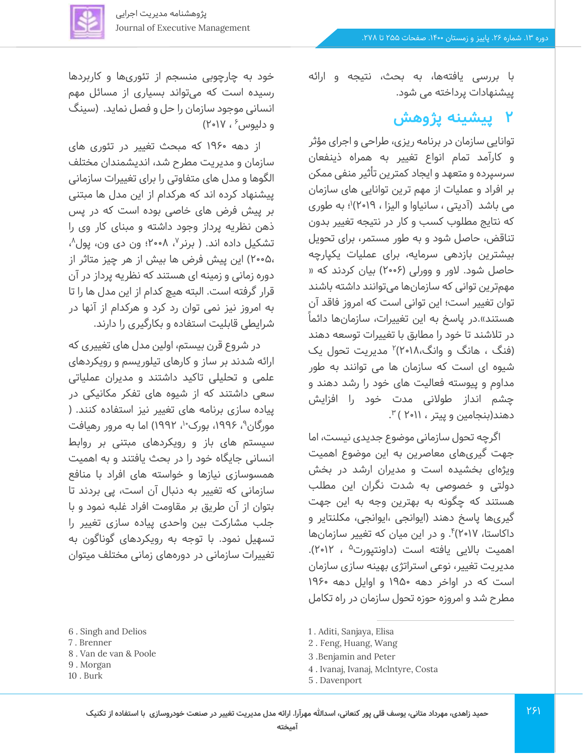

با بررسی یافتهها، به بحث، نتیجه و ارائه پیشنهادات پرداخته می شود.

### **2 پیشینه پژوهش**

توانایی سازمان در برنامه ریزی، طراحی و اجرای مؤثر و کارآمد تمام انواع تغییر به همراه ذینفعان سرسپرده و متعهد و ایجاد کمترین تأثیر منفی ممکن بر افراد و عملیات از مهم ترین توانایی های سازمان می باشد (آدیتی ، سانیاوا و الیزا ، ۲۰۱۹)'؛ به طوری که نتایج مطلوب کسب و کار در نتیجه تغییر بدون تناقض، حاصل شود و به طور مستمر، برای تحویل بیشترین بازدهی سرمایه، برای عملیات یکپارچه حاصل شود. الور و وورلی ) 2006( بیان کردند که » مهمترین توانی که سازمانها میتوانند داشته باشند توان تغییر است؛ این توانی است که امروز فاقد آن هستند».در پاسخ به این تغییرات، سازمانها دائماً در تالشند تا خود را مطابق با تغییرات توسعه دهند (فنگ ، هانگ و وانگ،۱۸ه'۲)۲ مدیریت تحول یک شیوه ای است که سازمان ها می توانند به طور مداوم و پیوسته فعالیت های خود را رشد دهند و چشم انداز طوالنی مدت خود را افزایش دهند(بنجامین و پیتر ، ۲۰۱۱ ) ۳.

اگرچه تحول سازمانی موضوع جدیدی نیست، اما جهت گیریهای معاصرین به این موضوع اهمیت ویژهای بخشیده است و مدیران ارشد در بخش دولتی و خصوصی به شدت نگران این مطلب هستند که چگونه به بهترین وجه به این جهت گیریها پاسخ دهند )ایوانجی ،ایوانجی، مکلنتایر و داکاستا، ۲۰۱۷)۴. و در این میان که تغییر سازمانها اهمیت بالایی یافته است (داونتپورت<sup>۵</sup> ، ۲۰۱۲). مدیریت تغییر، نوعی استراتژی بهینه سازی سازمان است که در اواخر دهه 1950 و اوایل دهه 1960 مطرح شد و امروزه حوزه تحول سازمان در راه تکامل

- 1 . Aditi, Sanjaya, Elisa
- 2 . Feng, Huang, Wang
- 3 .Benjamin and Peter
- 4 . Ivanaj, Ivanaj, Mclntyre, Costa
- 5 . Davenport

خود به چارچوبی منسجم از تئوری ها و کاربردها رسیده است که می تواند بسیاری از مسائل مهم انسانی موجود سازمان را حل و فصل نماید. )سینگ و دلیوس ٔ ، ۲۰۱۷)

از دهه 1960 که مبحث تغییر در تئوری های سازمان و مدیریت مطرح شد، اندیشمندان مختلف الگوها و مدل های متفاوتی را برای تغییرات سازمانی پیشنهاد کرده اند که هرکدام از این مدل ها مبتنی بر پیش فرض های خاصی بوده است که در پس ذهن نظریه پرداز وجود داشته و مبنای کار وی را تشکیل داده اند. ( برنر<sup>۷</sup>، ۲۰۰۸؛ ون دی ون، پول<sup>۸</sup>، 2005،( این پیش فرض ها بیش از هر چیز متاثر از دوره زمانی و زمینه ای هستند که نظریه پرداز در آن قرار گرفته است. البته هیچ کدام از این مدل ها را تا به امروز نیز نمی توان رد کرد و هرکدام از آنها در شرایطی قابلیت استفاده و بکارگیری را دارند.

در شروع قرن بیستم، اولین مدل های تغییری که ارائه شدند بر ساز و کارهای تیلوریسم و رویکردهای علمی و تحلیلی تاکید داشتند و مدیران عملیاتی سعی داشتند که از شیوه های تفکر مکانیکی در پیاده سازی برنامه های تغییر نیز استفاده کنند. ) مورگان<sup>۹</sup>، ۱۹۹۶، بورک<sup>۱</sup>۰، ۱۹۹۲) اما به مرور رهیافت سیستم های باز و رویکردهای مبتنی بر روابط انسانی جایگاه خود را در بحث یافتند و به اهمیت همسوسازی نیازها و خواسته های افراد با منافع سازمانی که تغییر به دنبال آن است، پی بردند تا بتوان از آن طریق بر مقاومت افراد غلبه نمود و با جلب مشارکت بین واحدی پیاده سازی تغییر را تسهیل نمود. با توجه به رویکردهای گوناگون به تغییرات سازمانی در دوره های زمانی مختلف میتوان

- 7 . Brenner
- 8 . Van de van & Poole
- 9 . Morgan
- 10 . Burk

<sup>6</sup> . Singh and Delios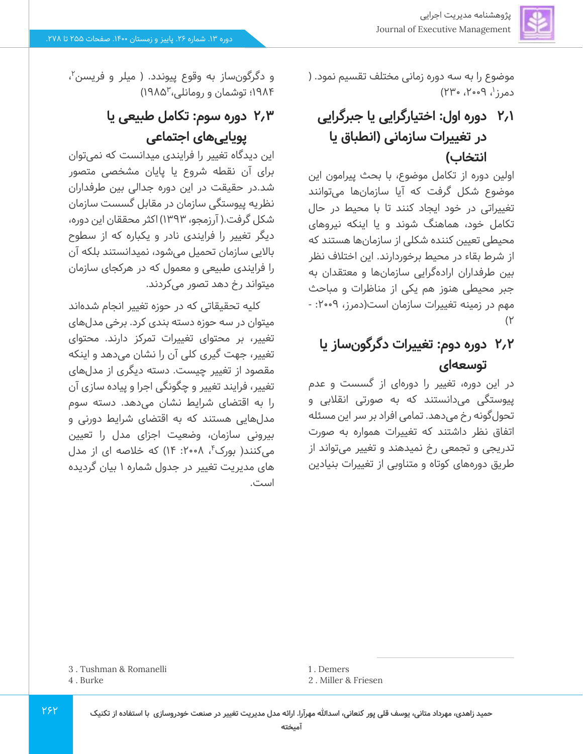موضوع را به سه دوره زمانی مختلف تقسیم نمود. ) دمرز'، ۲۰۰۹، ۲۳۰)

# **2.1 دوره اول: اختیارگرایی یا جبرگرایی در تغییرات سازمانی )انطباق یا انتخاب(**

اولین دوره از تکامل موضوع، با بحث پیرامون این موضوع شکل گرفت که آیا سازمانها میتوانند تغییراتی در خود ایجاد کنند تا با محیط در حال تکامل خود، هماهنگ شوند و یا اینکه نیروهای محیطی تعیین کننده شکلی از سازمانها هستند که از شرط بقاء در محیط برخوردارند. این اختالف نظر بین طرفداران اراده گرایی سازمانها و معتقدان به جبر محیطی هنوز هم یکی از مناظرات و مباحث مهم در زمینه تغییرات سازمان است(دمرز، ۰-۲۰۰ - $(1)$ 

# **2.2 دوره دوم: تغییرات دگرگون ساز یا توسعه ای**

در این دوره، تغییر را دورهای از گسست و عدم پیوستگی می دانستند که به صورتی انقالبی و تحول گونه رخ می دهد. تمامی افراد بر سر این مسئله اتفاق نظر داشتند که تغییرات همواره به صورت تدریجی و تجمعی رخ نمیدهند و تغییر میتواند از طریق دوره های کوتاه و متناوبی از تغییرات بنیادین

و دگرگونساز به وقوع پیوندد. ( میلر و فریسن<sup>۲</sup>، 1985( <sup>3</sup> 1984؛ توشمان و رومانلی،

# **2.3 دوره سوم: تکامل طبیعی یا پویایی های اجتماعی**

این دیدگاه تغییر را فرایندی میدانست که نمی توان برای آن نقطه شروع یا پایان مشخصی متصور شد.در حقیقت در این دوره جدالی بین طرفداران نظریه پیوستگی سازمان در مقابل گسست سازمان شکل گرفت.) آرزمجو، 1393( اکثر محققان این دوره، دیگر تغییر را فرایندی نادر و یکباره که از سطوح باالیی سازمان تحمیل می شود، نمیدانستند بلکه آن را فرایندی طبیعی و معمول که در هرکجای سازمان میتواند رخ دهد تصور می کردند.

کلیه تحقیقاتی که در حوزه تغییر انجام شده اند میتوان در سه حوزه دسته بندی کرد. برخی مدل های تغییر، بر محتوای تغییرات تمرکز دارند. محتوای تغییر، جهت گیری کلی آن را نشان می دهد و اینکه مقصود از تغییر چیست. دسته دیگری از مدل های تغییر، فرایند تغییر و چگونگی اجرا و پیاده سازی آن را به اقتضای شرایط نشان میدهد. دسته سوم مدل هایی هستند که به اقتضای شرایط دورنی و بیرونی سازمان، وضعیت اجزای مدل را تعیین میکنند( بورکٴ، ۲۰۰۸: ۱۴) که خلاصه ای از مدل های مدیریت تغییر در جدول شماره 1 بیان گردیده است.

1 . Demers

2 . Miller & Friesen

- 3 . Tushman & Romanelli
- 4 . Burke

**حمید زاهدی، مهرداد متانی، یوسف قلی پور کنعانی، اسدهللا مهرآرا. ارائه مدل مدیریت تغییر در صنعت خودروسازی با استفاده از تکنیک**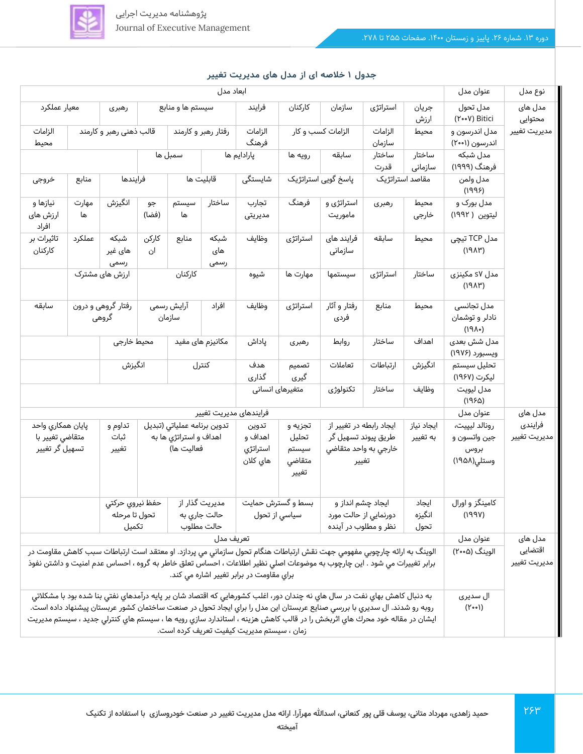

| پژوهشنامه مدیریت اجرایی         |
|---------------------------------|
| Journal of Executive Management |

| ابعاد مدل                                                                                                                                                                                                                                                                                     |                         |                             |                             |                                                 |                        |                   |                                               |                                             | عنوان مدل                     | نوع مدل                         |                                               |              |
|-----------------------------------------------------------------------------------------------------------------------------------------------------------------------------------------------------------------------------------------------------------------------------------------------|-------------------------|-----------------------------|-----------------------------|-------------------------------------------------|------------------------|-------------------|-----------------------------------------------|---------------------------------------------|-------------------------------|---------------------------------|-----------------------------------------------|--------------|
| معيار عملكرد<br>رهبری                                                                                                                                                                                                                                                                         |                         | سیستم ها و منابع            |                             | فرايند                                          | كاركنان                | سازمان            | استراتژی                                      | جريان<br>ارزش                               | مدل تحول<br>(۲۰۰۷) Bitici     | مدل های<br>محتوايى              |                                               |              |
| الزامات<br>محيط                                                                                                                                                                                                                                                                               | قالب ذهنی رهبر و کارمند |                             | رفتار رهبر و کارمند         |                                                 | الزامات<br>فرهنگ       | الزامات کسب و کار |                                               | الزامات<br>سازمان                           | محيط                          | مدل اندرسون و<br>اندرسون (۲۰۰۱) | مديريت تغيير                                  |              |
|                                                                                                                                                                                                                                                                                               |                         |                             |                             | سمبل ها                                         |                        | پارادایم ها       | رويه ها                                       | سابقه                                       | ساختار<br>قدرت                | ساختار<br>سازمانى               | مدل شبکه<br>فرهنگ (۱۹۹۹)                      |              |
| خروجى                                                                                                                                                                                                                                                                                         | منابع                   |                             | فرايندها<br>قابلیت ها       |                                                 |                        | شايستگى           |                                               | <del>پاسخ</del> گویی استراتژیک              | مقاصد استراتژیک               |                                 | مدل ولمن<br>(1995)                            |              |
| نیازها و<br>ارزش های<br>افراد                                                                                                                                                                                                                                                                 | مهارت<br>ها             | انگيزش                      | جو<br>(فضا)                 | سيستم<br>ها                                     | ساختار                 | تجارب<br>مديريتى  | فرهنگ                                         | استراتژی و<br>ماموريت                       | رهبری                         | محيط<br>خارجى                   | مدل بورک و<br>ليتوين ( ١٩٩٢)                  |              |
| تاثیرات بر<br>كاركنان                                                                                                                                                                                                                                                                         | عملكرد                  | شبكه<br>های غیر<br>رسمى     | كاركن<br>ان                 | منابع                                           | شبكه<br>های<br>رسمى    | وظايف             | استراتژی                                      | فرایند های<br>سازمانى                       | سابقه                         | محيط                            | مدل TCP تیچی<br>(19AY)                        |              |
|                                                                                                                                                                                                                                                                                               |                         | ارزش های مشترک              |                             | كاركنان                                         |                        | شيوه              | مهارت ها                                      | سيستمها                                     | استراتژی                      | ساختار                          | مدل s۷ مکینزی<br>(19AY)                       |              |
| سابقه                                                                                                                                                                                                                                                                                         |                         | رفتار گروهی و درون<br>گروهی |                             | آرایش رسمی<br>سازمان                            | افراد                  | وظايف             | استراتژی                                      | رفتار و آثار<br>فردى                        | منابع                         | محيط                            | مدل تجانسی<br>نادلر و توشمان<br>$(19\Lambda)$ |              |
| محيط خارجى<br>مکانیزم های مفید                                                                                                                                                                                                                                                                |                         |                             |                             | پاداش                                           | رهبری                  | روابط             | ساختار                                        | اهداف                                       | مدل شش بعدی<br>ويسبورد (۱۹۷۶) |                                 |                                               |              |
| انگیزش                                                                                                                                                                                                                                                                                        |                         |                             |                             | كنترل                                           | هدف<br>گذاری           | تصميم<br>گیری     | تعاملات                                       | ارتباطات                                    | انگیزش                        | تحليل سيستم<br>لیکرت (۱۹۶۷)     |                                               |              |
| متغیرهای انسانی<br>تكنولوژى<br>ساختار<br>وظايف                                                                                                                                                                                                                                                |                         |                             |                             |                                                 |                        |                   |                                               |                                             |                               | مدل ليويت<br>(1950)             |                                               |              |
|                                                                                                                                                                                                                                                                                               |                         |                             |                             |                                                 | فرايندهاى مديريت تغيير |                   |                                               |                                             |                               |                                 | عنوان مدل                                     | مدل های      |
| پايان همكاري واحد                                                                                                                                                                                                                                                                             |                         | تداوم و                     | تدوين برنامه عملياتى (تبديل |                                                 | تدوين                  | تجزیه و           | ایجاد رابطه در تغییر از                       |                                             | ایجاد نیاز                    | رونالد ليپيت،                   | فرايندى                                       |              |
| متقاضی تغییر با                                                                                                                                                                                                                                                                               |                         | ثبات<br>تغيير               |                             | اهداف و استراتژي ها به<br>اهداف و<br>فعاليت ها) |                        | استراتژي          | تحليل<br>سيستم                                | طریق پیوند تسهیل گر<br>خارجي به واحد متقاضي |                               | به تغییر                        | جين واتسون و<br>بروس                          | مديريت تغيير |
| تسهیل گر تغییر                                                                                                                                                                                                                                                                                |                         |                             |                             | هاي كلان                                        | متقاضى<br>تغيير        | تغيير             |                                               |                                             | وستلى(١٩۵٨)                   |                                 |                                               |              |
|                                                                                                                                                                                                                                                                                               |                         | حفظ نيروي حركتى             |                             |                                                 | مدیریت گذار از         | بسط و گسترش حمایت |                                               | ایجاد چشم انداز و                           |                               | ايجاد                           | کامینگز و اورال                               |              |
| تحول تا مرحله<br>تكميل                                                                                                                                                                                                                                                                        |                         |                             | حالت جاری به<br>حالت مطلوب  |                                                 |                        | سياسي از تحول     | دورنمایی از حالت مورد<br>نظر و مطلوب در آینده |                                             | انگیزه<br>تحول                | (199V)                          |                                               |              |
| تعريف مدل                                                                                                                                                                                                                                                                                     |                         |                             |                             |                                                 |                        |                   |                                               |                                             | عنوان مدل                     | مدل های                         |                                               |              |
| الوينگ به ارائه چارچوبي مفهومي جهت نقش ارتباطات هنگام تحول سازماني مي پردازد. او معتقد است ارتباطات سبب كاهش مقاومت در<br>برابر تغییرات می شود . این چارچوب به موضوعات اصلی نظیر اطلاعات ، احساس تعلق خاطر به گروه ، احساس عدم امنیت و داشتن نفوذ<br>براي مقاومت در برابر تغيير اشاره مي كند. |                         |                             |                             |                                                 |                        |                   | الوینگ (۰۰۵ه)                                 | اقتضايى<br>مديريت تغيير                     |                               |                                 |                                               |              |
| به دنبال كاهش بهاي نفت در سال هاي نه چندان دور، اغلب كشورهايي كه اقتصاد شان بر پايه درآمدهاي نفتي بنا شده بود با مشكلاتي<br>روبه رو شدند. ال سديري با بررسي صنايع عربستان اين مدل را براي ايجاد تحول در صنعت ساختمان كشور عربستان پيشنهاد داده است.                                           |                         |                             |                             |                                                 |                        |                   |                                               | ال سديري<br>$(Y \circ \circ)$               |                               |                                 |                                               |              |
|                                                                                                                                                                                                                                                                                               |                         |                             |                             |                                                 |                        |                   |                                               |                                             |                               |                                 |                                               |              |
| ايشان در مقاله خود محرك هاي اثربخش را در قالب كاهش هزينه ، استاندارد سازي رويه ها ، سيستم هاي كنترلي جديد ، سيستم مديريت<br>زمان ، سیستم مدیریت کیفیت تعریف کرده است.                                                                                                                         |                         |                             |                             |                                                 |                        |                   |                                               |                                             |                               |                                 |                                               |              |

#### **جدول 1 خالصه ای از مدل های مدیریت تغییر**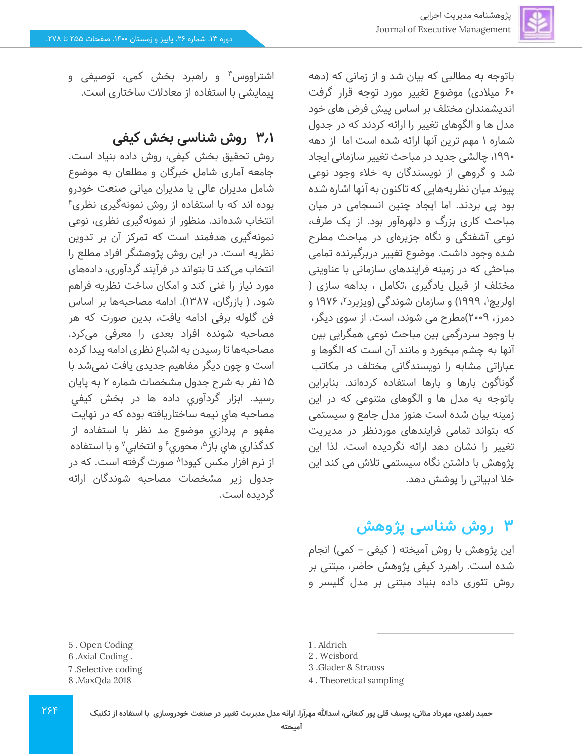

باتوجه به مطالبی که بیان شد و از زمانی که )دهه 60 میالدی( موضوع تغییر مورد توجه قرار گرفت اندیشمندان مختلف بر اساس پیش فرض های خود مدل ها و الگوهای تغییر را ارائه کردند که در جدول شماره 1 مهم ترین آنها ارائه شده است اما از دهه ،1990 چالشی جدید در مباحث تغییر سازمانی ایجاد شد و گروهی از نویسندگان به خالء وجود نوعی پیوند میان نظریههایی که تاکنون به آنها اشاره شده بود پی بردند. اما ایجاد چنین انسجامی در میان مباحث کاری بزرگ و دلهره آور بود. از یک طرف، نوعی آشفتگی و نگاه جزیرهای در مباحث مطرح شده وجود داشت. موضوع تغییر دربرگیرنده تمامی مباحثی که در زمینه فرایندهای سازمانی با عناوینی مختلف از قبیل یادگیری ،تکامل ، بداهه سازی ) اولریچ<sup>۱</sup>، ۱۹۹۹) و سازمان شوندگی (ویزبرد<sup>۲</sup>، ۱۹۷۶ و دمرز، 2009(مطرح می شوند، است. از سوی دیگر، با وجود سردرگمی بین مباحث نوعی همگرایی بین آنها به چشم میخورد و مانند آن است که الگوها و عباراتی مشابه را نویسندگانی مختلف در مکاتب گوناگون بارها و بارها استفاده کردهاند. بنابراین باتوجه به مدل ها و الگوهای متنوعی که در این زمینه بیان شده است هنوز مدل جامع و سیستمی که بتواند تمامی فرایندهای موردنظر در مدیریت تغییر را نشان دهد ارائه نگردیده است. لذا این پژوهش با داشتن نگاه سیستمی تالش می کند این خال ادبیاتی را پوشش دهد.

# **3 روش شناسی پژوهش**

این پژوهش با روش آمیخته ( کیفی – کمی) انجام شده است. راهبرد کیفی پژوهش حاضر، مبتنی بر روش تئوری داده بنیاد مبتنی بر مدل گلیسر و

- 1 . Aldrich
- 2 . Weisbord
- 3 .Glader & Strauss
- 4 . Theoretical sampling

اشتراووس<sup>۳</sup> و راهبرد بخش کمی، توصیفی و پیمایشی با استفاده از معادالت ساختاری است.

### **3.1 روش شناسی بخش کیفی**

روش تحقیق بخش کیفی، روش داده بنیاد است. جامعه آماری شامل خبرگان و مطلعان به موضوع شامل مدیران عالی یا مدیران میانی صنعت خودرو 4 بوده اند که با استفاده از روش نمونه گیری نظری انتخاب شده اند. منظور از نمونه گیری نظری، نوعی نمونه گیری هدفمند است که تمرکز آن بر تدوین نظریه است. در این روش پژوهشگر افراد مطلع را انتخاب می کند تا بتواند در فرآیند گردآوری، داده های مورد نیاز را غنی کند و امکان ساخت نظریه فراهم شود. ( بازرگان، ۱۳۸۷). ادامه مصاحبهها بر اساس فن گلوله برفی ادامه یافت، بدین صورت که هر مصاحبه شونده افراد بعدی را معرفی میکرد. مصاحبهها تا رسیدن به اشباع نظری ادامه پیدا کرده است و چون دیگر مفاهیم جدیدی یافت نمی شد با 15 نفر به شرح جدول مشخصات شماره 2 به پایان رسید. ابزار گردآوري داده ها در بخش كيفي مصاحبه هايِ نيمه ساختاريافته بوده که در نهايت مفهو م پردازي موضوع مد نظر با استفاده از کدگذاری های باز<sup>۵</sup>، محوری<sup>۶</sup> و انتخابی<sup>۷</sup> و با استفاده از نرم افزار مکس کیودا^ صورت گرفته است. که در جدول زیر مشخصات مصاحبه شوندگان ارائه گردیده است.

- 5 . Open Coding
- 6 .Axial Coding .
- 7 .Selective coding
- 8 .MaxQda 2018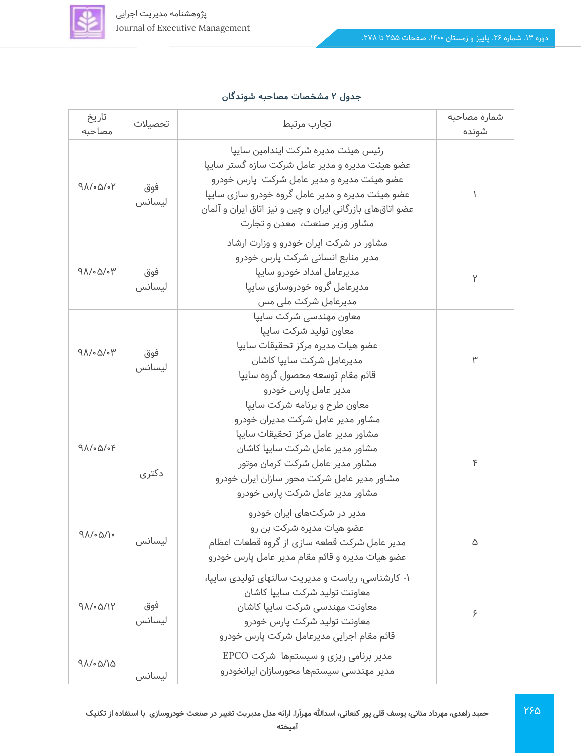

#### **جدول 2 مشخصات مصاحبه شوندگان**

| تاريخ<br>مصاحبه                 | تحصيلات | تجارب مرتبط                                               | شماره مصاحبه<br>شونده |
|---------------------------------|---------|-----------------------------------------------------------|-----------------------|
|                                 |         |                                                           |                       |
|                                 |         | رئيس هيئت مديره شركت ايندامين سايپا                       |                       |
|                                 |         | عضو هیئت مدیره و مدیر عامل شرکت سازه گستر ساییا           |                       |
| $9\Lambda/\circ\Delta/\circ Y$  | فوق     | عضو هیئت مدیره و مدیر عامل شرکت  پارس خودرو               |                       |
|                                 | ليسانس  | عضو هیئت مدیره و مدیر عامل گروه خودرو سازی سایپا          |                       |
|                                 |         | عضو اتاقهای بازرگانی ایران و چین و نیز اتاق ایران و آلمان |                       |
|                                 |         | مشاور وزیر صنعت، معدن و تجارت                             |                       |
|                                 |         | مشاور در شرکت ایران خودرو و وزارت ارشاد                   |                       |
|                                 |         | مدیر منابع انسانی شرکت پارس خودرو                         |                       |
| $9\Lambda/\circ\Delta/\circ\mu$ | فوق     | مدیرعامل امداد خودرو سایپا                                | ٢                     |
|                                 | ليسانس  | مدیرعامل گروه خودروسازی سایپا                             |                       |
|                                 |         | مدیرعامل شرکت ملی مس                                      |                       |
|                                 |         | معاون مهندسی شرکت ساییا                                   |                       |
|                                 |         | معاون توليد شركت ساييا                                    |                       |
| $9\Lambda/\Omega/\Omega$        | فوق     | عضو هيات مديره مركز تحقيقات سايپا                         |                       |
|                                 | ليسانس  | مديرعامل شركت ساييا كاشان                                 | ٣                     |
|                                 |         | قائم مقام توسعه محصول گروه سايپا                          |                       |
|                                 |         | مدیر عامل پارس خودرو                                      |                       |
|                                 |         | معاون طرح و برنامه شرکت ساییا                             |                       |
|                                 |         | مشاور مدیر عامل شرکت مدیران خودرو                         |                       |
|                                 |         | مشاور مدير عامل مركز تحقيقات ساييا                        |                       |
| $9\Lambda/\Omega/\Omega$        |         | مشاور مدير عامل شركت سايپا كاشان                          |                       |
|                                 |         | مشاور مدیر عامل شرکت کرمان موتور                          | ۴                     |
|                                 | دکتری   | مشاور مدیر عامل شرکت محور سازان ایران خودرو               |                       |
|                                 |         | مشاور مدیر عامل شرکت پارس خودرو                           |                       |
|                                 |         | مدیر در شرکتهای ایران خودرو                               |                       |
|                                 | ليسانس  | عضو هيات مديره شركت بن رو                                 |                       |
| 98/06/16                        |         | مدیر عامل شرکت قطعه سازی از گروه قطعات اعظام              | ۵                     |
|                                 |         | عضو هیات مدیره و قائم مقام مدیر عامل پارس خودرو           |                       |
|                                 |         | ۱- کارشناسی، ریاست و مدیریت سالنهای تولیدی ساییا،         |                       |
| $9\Lambda/\Omega/\gamma$        |         | معاونت توليد شركت ساييا كاشان                             |                       |
|                                 | فوق     | معاونت مهندسى شركت سايپا كاشان                            |                       |
|                                 | ليسانس  | معاونت توليد شركت يارس خودرو                              | ۶                     |
|                                 |         | قائم مقام اجرایی مدیرعامل شرکت پارس خودرو                 |                       |
|                                 |         | مدیر برنامی ریزی و سیستمها شرکت EPCO                      |                       |
| 91/00/10                        |         | مدیر مهندسی سیستمها محورسازان ایرانخودرو                  |                       |
|                                 | ليسانس  |                                                           |                       |

196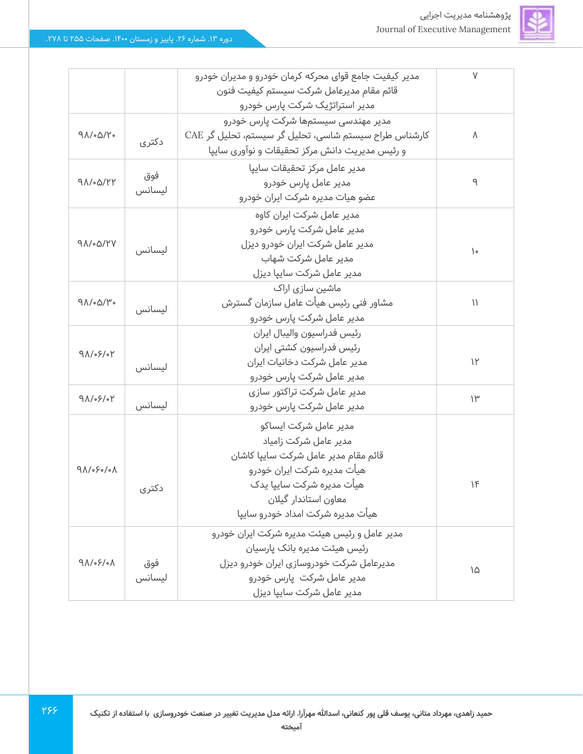

|                                        |        | مدیر کیفیت جامع قوای محرکه کرمان خودرو و مدیران خودرو | $\vee$        |
|----------------------------------------|--------|-------------------------------------------------------|---------------|
|                                        |        | قائم مقام مديرعامل شركت سيستم كيفيت فنون              |               |
|                                        |        | مدیر استراتژیک شرکت پارس خودرو                        |               |
|                                        |        | مدیر مهندسی سیستمها شرکت پارس خودرو                   |               |
| $9\Lambda/\sim\Delta/Y$                | دکتری  | کارشناس طراح سیستم شاسی، تحلیل گر سیستم، تحلیل گر CAE | $\Lambda$     |
|                                        |        | و رئیس مدیریت دانش مرکز تحقیقات و نوآوری سایپا        |               |
|                                        | فوق    | مدير عامل مركز تحقيقات ساييا                          |               |
| $9\Lambda/\Omega$                      | ليسانس | مدیر عامل یارس خودرو                                  | ٩             |
|                                        |        | عضو هیات مدیره شرکت ایران خودرو                       |               |
|                                        |        | مدیر عامل شرکت ایران کاوه                             |               |
|                                        |        | مدیر عامل شرکت پارس خودرو                             |               |
| $9\Lambda/\Omega$                      | ليسانس | مدیر عامل شرکت ایران خودرو دیزل                       |               |
|                                        |        | مدیر عامل شرکت شهاب                                   | $\mathcal{L}$ |
|                                        |        | مدیر عامل شرکت سایپا دیزل                             |               |
|                                        |        | ماشین سازی اراک                                       |               |
| $9\Lambda/\Omega/\mu$ .                |        | مشاور فنى رئيس هيأت عامل سازمان گسترش                 | $\mathcal{U}$ |
|                                        | ليسانس | مدیر عامل شرکت پارس خودرو                             |               |
|                                        |        | رئيس فدراسيون واليبال ايران                           |               |
| 91/05/04                               |        | رئیس فدراسیون کشتی ایران                              |               |
|                                        | ليسانس | مدیر عامل شرکت دخانیات ایران                          | $\mathcal{V}$ |
|                                        |        | مدیر عامل شرکت پارس خودرو                             |               |
| $9\Lambda/\sqrt{2}$                    |        | مدیر عامل شرکت تراکتور سازی                           | $\mathcal{W}$ |
|                                        | ليسانس | مدیر عامل شرکت پارس خودرو                             |               |
|                                        |        | مدير عامل شركت ايساكو                                 |               |
|                                        |        | مدیر عامل شرکت زامیاد                                 |               |
|                                        |        | قائم مقام مدير عامل شركت سايپا كاشان                  |               |
| $9\Lambda/\circ\div\circ/\circ\Lambda$ |        | هیأت مدیره شرکت ایران خودرو                           |               |
|                                        | دكترى  | هیأت مدیره شرکت سایپا یدک                             | 16            |
|                                        |        | معاون استاندار گیلان                                  |               |
|                                        |        | هيأت مديره شركت امداد خودرو ساييا                     |               |
|                                        |        | مدیر عامل و رئیس هیئت مدیره شرکت ایران خودرو          |               |
|                                        |        | رئیس هیئت مدیره بانک پارسیان                          |               |
| $9\Lambda/\sqrt{2}/\Lambda$            | فوق    | مدیرعامل شرکت خودروسازی ایران خودرو دیزل              |               |
|                                        | ليسانس | مدیر عامل شرکت  پارس خودرو                            | ١۵            |
|                                        |        | مدير عامل شركت ساييا ديزل                             |               |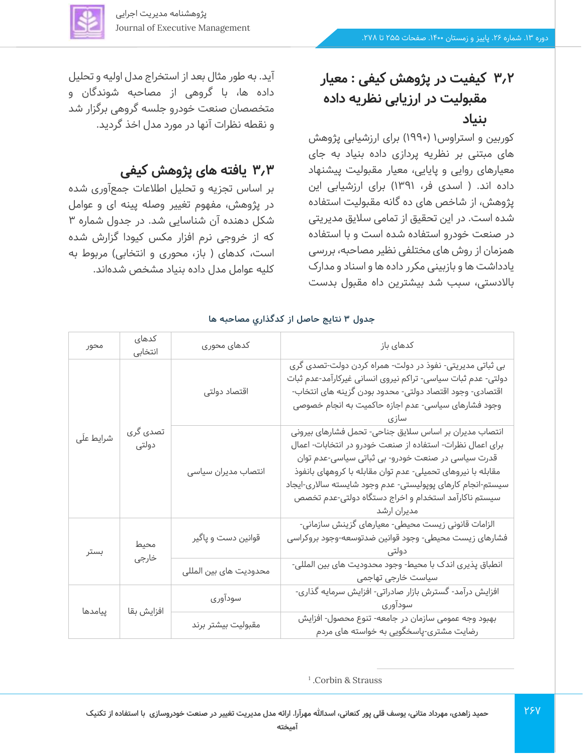

# **3.2 کیفیت در پژوهش کیفی : معیار مقبولیت در ارزیابی نظریه داده بنیاد**

کوربین و استراوس۱ (۱۹۹۰) برای ارزشیابی پژوهش های مبتنی بر نظریه پردازی داده بنیاد به جای معیارهای روایی و پایایی، معیار مقبولیت پیشنهاد داده اند. ( اسدی فر، ۱۳۹۱) برای ارزشیابی این پژوهش، از شاخص های ده گانه مقبولیت استفاده شده است. در این تحقیق از تمامی سالیق مدیریتی در صنعت خودرو استفاده شده است و با استفاده همزمان از روش های مختلفی نظیر مصاحبه، بررسی یادداشت ها و بازبینی مکرر داده ها و اسناد و مدارک باالدستی، سبب شد بیشترین داه مقبول بدست

آید. به طور مثال بعد از استخراج مدل اولیه و تحلیل داده ها، با گروهی از مصاحبه شوندگان و متخصصان صنعت خودرو جلسه گروهی برگزار شد و نقطه نظرات آنها در مورد مدل اخذ گردید.

## **3.3 یافته های پژوهش کیفی**

بر اساس تجزیه و تحلیل اطالعات جمع آوری شده در پژوهش، مفهوم تغییر وصله پینه ای و عوامل شکل دهنده آن شناسایی شد. در جدول شماره 3 که از خروجی نرم افزار مکس کیودا گزارش شده است، کدهای ( باز، محوری و انتخابی) مربوط به کلیه عوامل مدل داده بنیاد مشخص شده اند.

| محور       | كدهاى<br>انتخابى  | كدهاى محورى            | كدهاى باز                                                                                                                                                                                                                                                                                                                                                                     |
|------------|-------------------|------------------------|-------------------------------------------------------------------------------------------------------------------------------------------------------------------------------------------------------------------------------------------------------------------------------------------------------------------------------------------------------------------------------|
|            |                   | اقتصاد دولتى           | بی ثباتی مدیریتی- نفوذ در دولت- همراه کردن دولت-تصدی گری<br>دولتی- عدم ثبات سیاسی- تراکم نیروی انسانی غیرکارآمد-عدم ثبات<br>اقتصادی- وجود اقتصاد دولتی- محدود بودن گزینه های انتخاب-<br>وجود فشارهای سیاسی- عدم اجازه حاکمیت به انجام خصوصی                                                                                                                                   |
| شرايط علَى | تصدی گری<br>دولتى | انتصاب مديران سياسى    | انتصاب مدیران بر اساس سلایق جناحی- تحمل فشارهای بیرونی<br>برای اعمال نظرات- استفاده از صنعت خودرو در انتخابات- اعمال<br>قدرت سیاسی در صنعت خودرو- بی ثباتی سیاسی-عدم توان<br>مقابله با نیروهای تحمیلی- عدم توان مقابله با کروههای بانفوذ<br>سیستم-انجام کارهای پوپولیستی- عدم وجود شایسته سالاری-ایجاد<br>سیستم ناکارآمد استخدام و اخراج دستگاه دولتی-عدم تخصص<br>مدیران ارشد |
| بستر       | محيط<br>خارجى     | قوانین دست و پاگیر     | الزامات قانونی زیست محیطی- معیارهای گزینش سازمانی-<br>فشارهای زیست محیطی- وجود قوانین ضدتوسعه-وجود بروکراسی<br>دولتے ،                                                                                                                                                                                                                                                        |
|            |                   | محدوديت هاى بين المللى | انطباق پذیری اندک با محیط- وجود محدودیت های بین المللی-<br>سیاست خارجی تهاجمی                                                                                                                                                                                                                                                                                                 |
| پیامدها    | افزايش بقا        | سودآوري                | افزایش درآمد- گسترش بازار صادراتی- افزایش سرمایه گذاری-<br>سودآوري                                                                                                                                                                                                                                                                                                            |
|            |                   | مقبوليت بيشتر برند     | بهبود وجه عمومی سازمان در جامعه- تنوع محصول- افزایش<br>رضایت مشتری-پاسخگویی به خواسته های مردم                                                                                                                                                                                                                                                                                |

#### **جدول 3 نتایج حاصل از كدگذاري مصاحبه ها**

1 .Corbin & Strauss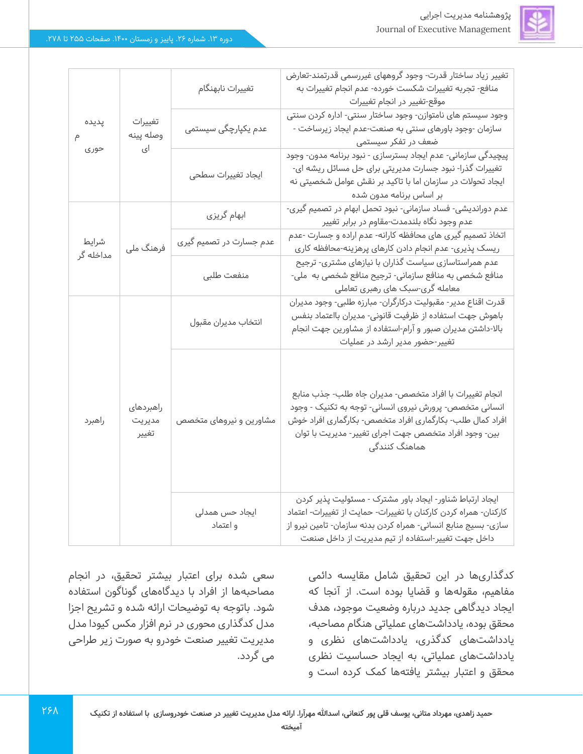|           |           | تغييرات نابهنگام        | تغییر زیاد ساختار قدرت- وجود کروههای غیررسمی قدرتمند-تعارض       |
|-----------|-----------|-------------------------|------------------------------------------------------------------|
|           |           |                         | منافع- تجربه تغییرات شکست خورده- عدم انجام تغییرات به            |
|           |           |                         | موقع-تغییر در انجام تغییرات                                      |
| پدیده     | تغييرات   |                         | وجود سیستم های نامتوازن- وجود ساختار سنتی- اداره کردن سنتی       |
|           | وصله پينه | عدم یکپارچگی سیستمی     | سازمان -وجود باورهای سنتی به صنعت-عدم ایجاد زیرساخت -            |
| حورى      | ای        |                         | ضعف در تفکر سیستمی                                               |
|           |           |                         | پیچیدگی سازمانی- عدم ایجاد بسترسازی - نبود برنامه مدون- وجود     |
|           |           | ايجاد تغييرات سطحى      | تغییرات گذرا- نبود جسارت مدیریتی برای حل مسائل ریشه ای-          |
|           |           |                         | ایجاد تحولات در سازمان اما با تاکید بر نقش عوامل شخصیتی نه       |
|           |           |                         | بر اساس برنامه مدون شده                                          |
|           |           | ابهام گریزی             | عدم دوراندیشی- فساد سازمانی- نبود تحمل ابهام در تصمیم گیری-      |
|           |           |                         | عدم وجود نگاه بلندمدت-مقاوم در برابر تغییر                       |
|           |           |                         | اتخاذ تصمیم گیری های محافظه کارانه- عدم اراده و جسارت -عدم       |
| شرايط     | فرهنگ ملی | عدم جسارت در تصمیم گیری | ریسک پذیری- عدم انجام دادن کارهای پرهزینه-محافظه کاری            |
| مداخله گر |           | منفعت طلبى              | عدم همراستاسازی سیاست گذاران با نیازهای مشتری- ترجیح             |
|           |           |                         | منافع شخصی به منافع سازمانی- ترجیح منافع شخصی به ًملی-           |
|           |           |                         | معامله گری-سبک های رهبری تعاملی                                  |
|           |           | انتخاب مديران مقبول     | قدرت اقناع مدير- مقبوليت دركارگران- مبارزه طلبي- وجود مديران     |
|           |           |                         | باهوش جهت استفاده از ظرفیت قانونی- مدیران بااعتماد بنفس          |
|           |           |                         | بالا-داشتن مدیران صبور و آرام-استفاده از مشاورین جهت انجام       |
|           |           |                         | تغییر-حضور مدیر ارشد در عملیات                                   |
|           |           | مشاورین و نیروهای متخصص |                                                                  |
|           |           |                         |                                                                  |
|           |           |                         |                                                                  |
|           | راهبردهای |                         | انجام تغییرات با افراد متخصص- مدیران جاه طلب- جذب منابع          |
|           |           |                         | انسانی متخصص- پرورش نیروی انسانی- توجه به تکنیک - وجود           |
| راهبرد    | مديريت    |                         | افراد کمال طلب- بکارگماری افراد متخصص- بکارگماری افراد خوش       |
|           | تغيير     |                         | بین- وجود افراد متخصص جهت اجرای تغییر- مدیریت با توان            |
|           |           |                         | هماهنگ کنندگی                                                    |
|           |           |                         |                                                                  |
|           |           |                         |                                                                  |
|           |           |                         |                                                                  |
|           |           |                         | ایجاد ارتباط شناور- ایجاد باور مشترک - مسئولیت پذیر کردن         |
|           |           | ايجاد حس همدلى          | کارکنان- همراه کردن کارکنان با تغییرات- حمایت از تغییرات- اعتماد |
|           |           | و اعتماد                | سازی- بسیج منابع انسانی- همراه کردن بدنه سازمان- تامین نیرو از   |
|           |           |                         | داخل جهت تغییر-استفاده از تیم مدیریت از داخل صنعت                |

کدگذاری ها در این تحقیق شامل مقایسه دائمی مفاهیم، مقولهها و قضایا بوده است. از آنجا که ایجاد دیدگاهی جدید درباره وضعیت موجود، هدف محقق بوده، یادداشت های عملیاتی هنگام مصاحبه، یادداشت های کدگذری، یادداشت های نظری و یادداشت های عملیاتی، به ایجاد حساسیت نظری محقق و اعتبار بیشتر یافتهها کمک کرده است و

سعی شده برای اعتبار بیشتر تحقیق، در انجام مصاحبهها از افراد با دیدگاه های گوناگون استفاده شود. باتوجه به توضیحات ارائه شده و تشریح اجزا مدل کدگذاری محوری در نرم افزار مکس کیودا مدل مدیریت تغییر صنعت خودرو به صورت زیر طراحی می گردد.

٢۶٨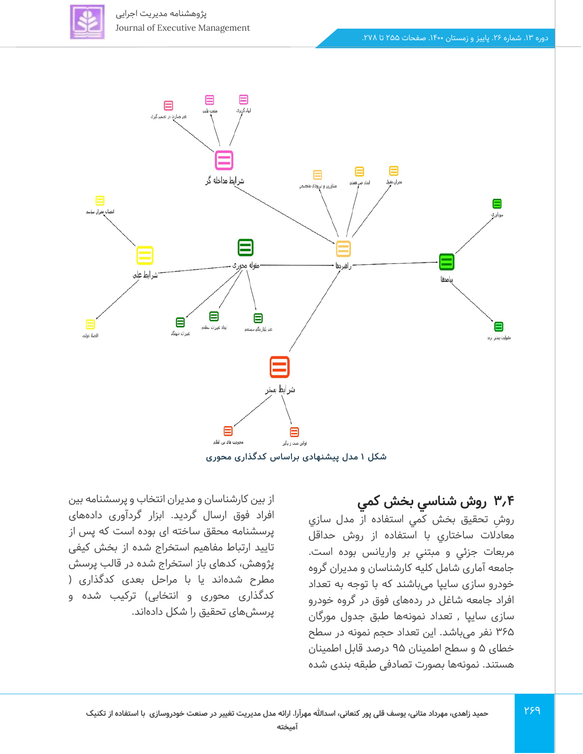



**شکل 1 مدل پیشنهادی براساس کدگذاری محوری** 

### **3.4 روش شناسي بخش كمي**

 ش رو تحقيق بخش كمي استفاده از مدل سازي معادالت ساختاري با استفاده از روش حداقل مربعات جزئي و مبتني بر واريانس بوده است. جامعه آماری شامل کلیه کارشناسان و مدیران گروه خودرو سازی ساییا میباشند که با توجه به تعداد افراد جامعه شاغل در ردههای فوق در گروه خودرو سازی سایپا , تعداد نمونهها طبق جدول مورگان 365 نفر م ی باشد. این تعداد حجم نمونه در سطح خطای ۵ و سطح اطمینان ۹۵ درصد قابل اطمینان هستند. نمونه ها بصورت تصادفی طبقه بندی شده

از بین کارشناسان و مدیران انتخاب و پرسشنامه بین افراد فوق ارسال گردید. ابزار گردآوری دادههای پرسشنامه محقق ساخته ای بوده است که پس از تایید ارتباط مفاهیم استخراج شده از بخش کیفی پژوهش، کدهای باز استخراج شده در قالب پرسش مطرح شدهاند یا با مراحل بعدی کدگذاری ) کدگذاری محوری و انتخابی) ترکیب شده و پرسش های تحقیق را شکل داده اند.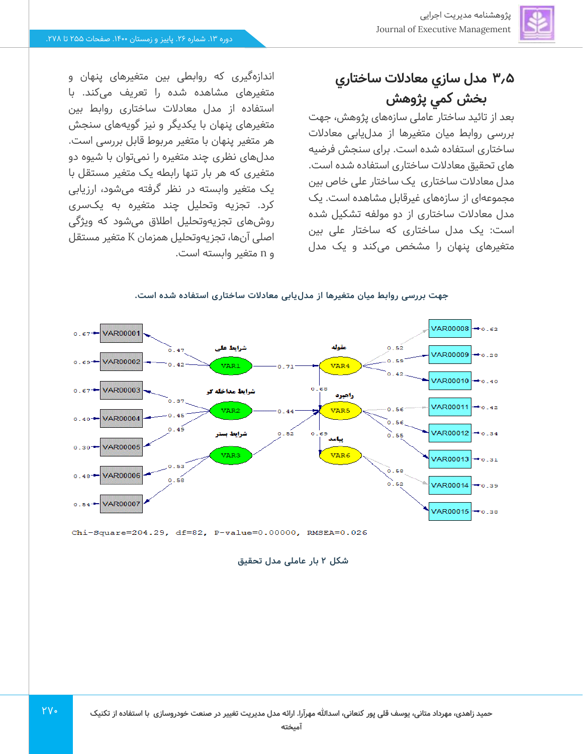# **3.5 مدل سازي معادالت ساختاري بخش كمي پژوهش**

بعد از تائید ساختار عاملی سازههای پژوهش، جهت بررسی روابط میان متغیرها از مدل یابی معادالت ساختاری استفاده شده است. برای سنجش فرضیه های تحقیق معادالت ساختار ی استفاده شده است. مدل معادالت ساختاری ی ک ساختار علی خاص بین مجموعهای از سازههای غیرقابل مشاهده است. یک مدل معادالت ساختاری از دو مولفه تشکیل شده است: یک مدل ساختاری که ساختار علی بین متغیرهای پنهان را مشخص می کند و ی ک مدل

اندازهگیری که روابطی بین متغیرهای پنهان و متغیرهای مشاهده شده را تعریف می کند. با استفاده از مدل معادالت ساختاری روابط بین متغیرهای پنهان با یکد یگر و نیز گویه های سنجش هر متغیر پنهان با متغیر مربوط قابل بررسی است. مدل های نظری چند متغیره را نم ی توان با شیوه دو متغیری که هر بار تنها رابطه یک متغیر مستقل با یک متغیر وابسته در نظر گرفته میشود، ارزیابی کرد. تجزیه وتحلیل چند متغیره به یک سری روشهای تجزیه وتحلیل اطالق می شود که ویژگ ی اصلی آن ها، تجزیه وتحلیل همزمان K متغیر مستقل و n متغیر وابسته است.



#### جهت بررسی روابط میان متغیرها از مدلuیابی معادلات ساختاری استفاده شده است.

Chi-Square=204.29, df=82, P-value=0.00000, RMSEA=0.026

 $YV$ 

**شکل 2 بار عامل ی مدل تحقیق**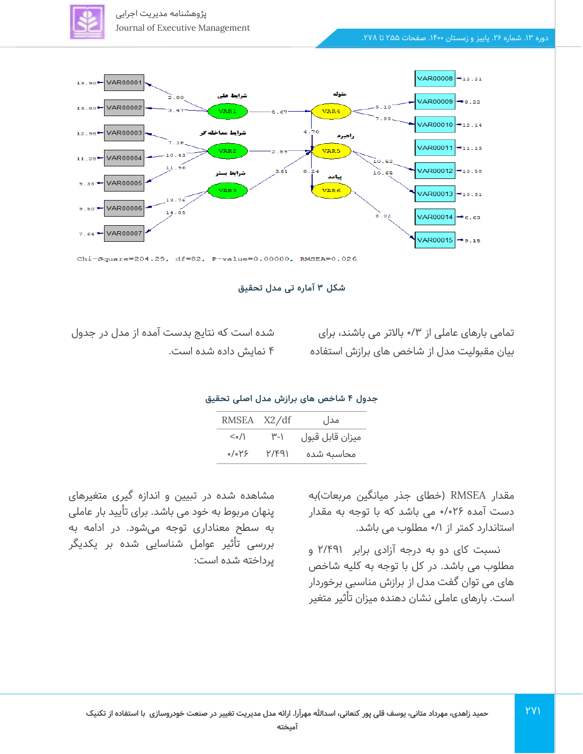پژوهشنامه مدیریت اجرایی Journal of Executive Management



شکل ۳ آماره تی مدل تحقیق

تمامی بارهای عاملی از ۳/۰ بالاتر می باشند، برای بیان مقبولیت مدل از شاخص های برازش استفاده

شده است كه نتا یج بدست آمده از مدل در جدول 4 نمایش داده شده است.

#### **جدول 4 شاخص های برازش مدل اصلی تحقیق**

| RMSEA X2/df             |              | مدل             |
|-------------------------|--------------|-----------------|
| $\langle \cdot \rangle$ | ۳-۱          | ميزان قابل قبول |
| ٬/۰۲۶                   | <u>۲/۴۹۱</u> | محاسىه شده      |

مقدار RMSEA (خطای جذر میانگین مربعات)به دست آمده 0/026 می باشد که با توجه به مقدار استاندارد کمتر از 0/1 مطلوب می باشد.

نسبت کای دو به درجه آزادی برابر 2/491 و مطلوب می باشد. در کل با توجه به کلیه شاخص های می توان گفت مدل از برازش مناسبی برخوردار است. بارهای عاملی نشان دهنده میزان تأثیر متغیر

271

مشاهده شده در تبیین و اندازه گیری متغیرهای پنهان مربوط به خود می باشد. برای تأیید بار عاملی به سطح معناداری توجه میشود. در ادامه به بررسی تأثیر عوامل شناسایی شده بر یکدیگر پرداخته شده است: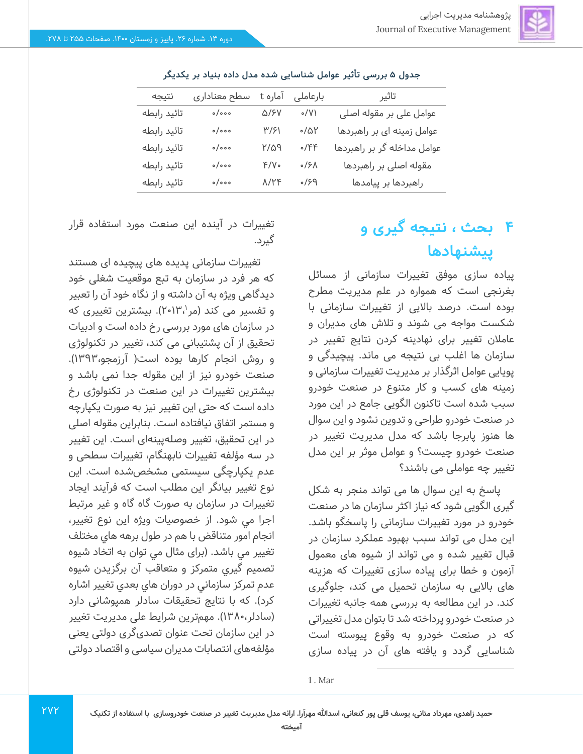

| نتيجه       | سطح معناداري                | آماره t            | بارعاملى    | تاثير                       |
|-------------|-----------------------------|--------------------|-------------|-----------------------------|
| تائيد رابطه | $\circ / \circ \circ \circ$ | <b>Q/SV</b>        | $\circ$ /V) | عوامل على بر مقوله اصلى     |
| تائيد رابطه | $\circ/\circ\circ\circ$     | $\frac{1}{2}$      | $\sim$ /۵۲  | عوامل زمینه ای بر راهبردها  |
| تائيد رابطه | $\circ / \circ \circ \circ$ | ٢/۵٩               | 0/FF        | عوامل مداخله گر بر راهبردها |
| تائيد رابطه | $\circ / \circ \circ \circ$ | $f/\gamma$ .       | 0/5/        | مقوله اصلی بر راهبردها      |
| تائيد رابطه | $\circ / \circ \circ \circ$ | $\Lambda/\Upsilon$ | 93/         | راهبردها بر پیامدها         |

جدول ۵ بررسی تأثیر عوامل شناسایی شده مدل داده بنیاد بر یکدیگر

# **4 بحث ، نتیجه گیری و پیشنهادها**

پیاده سازی موفق تغییرات سازمانی از مسائل بغرنجی است که همواره در علم مدیریت مطرح بوده است. درصد باالیی از تغییرات سازمانی با شکست مواجه می شوند و تالش های مدیران و عامالن تغییر برای نهادینه کردن نتایج تغییر در سازمان ها اغلب بی نتیجه می ماند. پیچیدگی و پویایی عوامل اثرگذار بر مدیریت تغییرات سازمانی و زمینه های کسب و کار متنوع در صنعت خودرو سبب شده است تاکنون الگویی جامع در این مورد در صنعت خودرو طراحی و تدوین نشود و این سوال ها هنوز پابرجا باشد که مدل مدیریت تغییر در صنعت خودرو چیست؟ و عوامل موثر بر این مدل تغییر چه عواملی می باشند؟

پاسخ به این سوال ها می تواند منجر به شکل گیری الگویی شود که نیاز اکثر سازمان ها در صنعت خودرو در مورد تغییرات سازمانی را پاسخگو باشد. این مدل می تواند سبب بهبود عملکرد سازمان در قبال تغییر شده و می تواند از شیوه های معمول آزمون و خطا برای پیاده سازی تغییرات که هزینه های باالیی به سازمان تحمیل می کند، جلوگیری کند. در این مطالعه به بررسی همه جانبه تغییرات در صنعت خودرو پرداخته شد تا بتوان مدل تغییراتی که در صنعت خودرو به وقوع پیوسته است شناسایی گردد و یافته های آن در پیاده سازی

تغییرات در آینده این صنعت مورد استفاده قرار گیرد.

تغییرات سازمانی پدیده های پیچیده ای هستند که هر فرد در سازمان به تبع موقعیت شغلی خود دیدگاهی ویژه به آن داشته و از نگاه خود آن را تعبیر و تفسیر می کند (مر۱۳٬۱۳۰). بیشترین تغییری که در سازمان های مورد بررسی رخ داده است و ادبیات تحقیق از آن پشتیبانی می کند، تغییر در تکنولوژی و روش انجام کارها بوده است) آرزمجو1393،(. صنعت خودرو نیز از این مقوله جدا نمی باشد و بیشترین تغییرات در این صنعت در تکنولوژی رخ داده است که حتی این تغییر نیز به صورت یکپارچه و مستمر اتفاق نیافتاده است. بنابراین مقوله اصلی در این تحقیق، تغییر وصله پینهای است. این تغییر در سه مؤلفه تغییرات نابهنگام، تغییرات سطحی و عدم یکپارچگی سیستمی مشخص شده است. اين نوع تغيير بيانگر اين مطلب است كه فرآيند ايجاد تغييرات در سازمان به صورت گاه گاه و غير مرتبط اجرا مي شود. از خصوصيات ويژه اين نوع تغيير، انجام امور متناقض با هم در طول برهه هاي مختلف تغيير مي باشد. )برای مثال مي توان به اتخاد شيوه تصميم گيري متمركز و متعاقب آن برگزيدن شيوه عدم تمركز سازماني در دوران هاي بعدي تغيير اشاره كرد). که با نتایج تحقیقات سادلر همپوشانی دارد )سادلر1380،(. مهم ترین شرایط علی مدیریت تغییر در این سازمان تحت عنوان تصدیگری دولتی یعنی مؤلفههای انتصابات مدیران سیاسی و اقتصاد دولتی

1 . Mar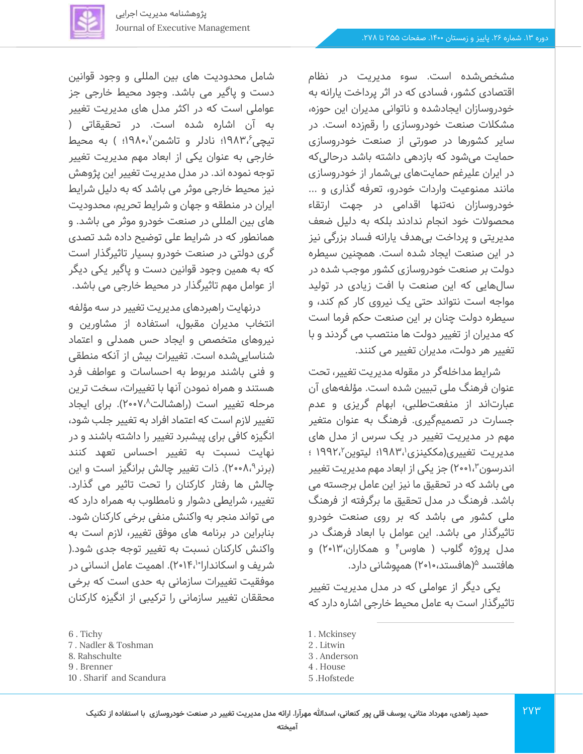مشخص شده است. سوء مدیریت در نظام اقتصادی کشور، فسادی که در اثر پرداخت یارانه به خودروسازان ایجادشده و ناتوانی مدیران این حوزه، مشکالت صنعت خودروسازی را رقمزده است. در سایر کشورها در صورتی از صنعت خودروسازی حمایت می شود که بازدهی داشته باشد درحالی که در ایران علیرغم حمایت های بی شمار از خودروسازی مانند ممنوعیت واردات خودرو، تعرفه گذاری و ... خودروسازان نه تنها اقدامی در جهت ارتقاء محصوالت خود انجام ندادند بلکه به دلیل ضعف مدیریتی و پرداخت بی هدف یارانه فساد بزرگی نیز در این صنعت ایجاد شده است. همچنین سیطره دولت بر صنعت خودروسازی کشور موجب شده در سال هایی که این صنعت با افت زیادی در تولید مواجه است نتواند حتی یک نیروی کار کم کند، و سیطره دولت چنان بر این صنعت حکم فرما است که مدیران از تغییر دولت ها منتصب می گردند و با تغییر هر دولت، مدیران تغییر می کنند.

شرایط مداخله گر در مقوله مدیریت تغییر، تحت عنوان فرهنگ ملی تبیین شده است. مؤلفه های آن عبارتاند از منفعتطلبی، ابهام گریزی و عدم جسارت در تصمیمگیری. فرهنگ به عنوان متغیر مهم در مدیریت تغییر در یک سرس از مدل های مدیریت تغییری(مککینزی'،۱۹۸۳؛ لیتوین'،۱۹۹۲ ؛ اندرسون ۲۰۰۱،۳) جز یکی از ابعاد مهم مدیریت تغییر می باشد که در تحقیق ما نیز این عامل برجسته می باشد. فرهنگ در مدل تحقیق ما برگرفته از فرهنگ ملی کشور می باشد که بر روی صنعت خودرو تاثیرگذار می باشد. این عوامل با ابعاد فرهنگ در مدل پروژه گلوب ( هاوس<sup>۴</sup> و همکاران،۲۰۱۳) و هافتسد <sup>۵</sup>(هافستد،۲۰۱۰) همپوشانی دارد.

یکی دیگر از عواملی که در مدل مدیریت تغییر تاثیرگذار است به عامل محیط خارجی اشاره دارد که

273

1 . Mckinsey

- 3 . Anderson
- 4 . House
- 5 .Hofstede

شامل محدودیت های بین المللی و وجود قوانین دست و پاگیر می باشد. وجود محیط خارجی جز عواملی است که در اکثر مدل های مدیریت تغییر به آن اشاره شده است. در تحقیقاتی ) تیچی $\mathsf{19}\mathsf{AP}$ ا؛ نادلر و تاشمن $\mathsf{19}\mathsf{AP}$ ا؛ ) به محیط خارجی به عنوان یکی از ابعاد مهم مدیریت تغییر توجه نموده اند. در مدل مدیریت تغییر این پژوهش نیز محیط خارجی موثر می باشد که به دلیل شرایط ایران در منطقه و جهان و شرایط تحریم، محدودیت های بین المللی در صنعت خودرو موثر می باشد. و همانطور که در شرایط علی توضیح داده شد تصدی گری دولتی در صنعت خودرو بسیار تاثیرگذار است که به همین وجود قوانین دست و پاگیر یکی دیگر از عوامل مهم تاثیرگذار در محیط خارجی می باشد.

درنهایت راهبردهای مدیریت تغییر در سه مؤلفه انتخاب مدیران مقبول، استفاده از مشاورین و نیروهای متخصص و ایجاد حس همدلی و اعتماد شناسایی شده است. تغییرات بیش از آنکه منطقی و فنی باشند مربوط به احساسات و عواطف فرد هستند و همراه نمودن آنها با تغییرات، سخت ترین مرحله تغییر است (راهشالت^،۲۰۰۷). برای ایجاد تغییر الزم است که اعتماد افراد به تغییر جلب شود، انگیزه کافی برای پیشبرد تغییر را داشته باشند و در نهایت نسبت به تغییر احساس تعهد کنند (برنر ۲۰۰۸<sup>۹)</sup>. ذات تغییر چالش برانگیز است و این چالش ها رفتار کارکنان را تحت تاثیر می گذارد. تغییر، شرایطی دشوار و نامطلوب به همراه دارد که می تواند منجر به واکنش منفی برخی کارکنان شود. بنابراین در برنامه های موفق تغییر، الزم است به واکنش کارکنان نسبت به تغییر توجه جدی شود.) شریف و اسکاندارا۲۰۱۴٬۱۰). اهمیت عامل انسانی در موفقیت تغییرات سازمانی به حدی است که برخی محققان تغییر سازمانی را ترکیبی از انگیزه کارکنان

- 7 . Nadler & Toshman
- 8. Rahschulte
- 9 . Brenner
- 10 . Sharif and Scandura

<sup>2</sup> . Litwin

<sup>6</sup> . Tichy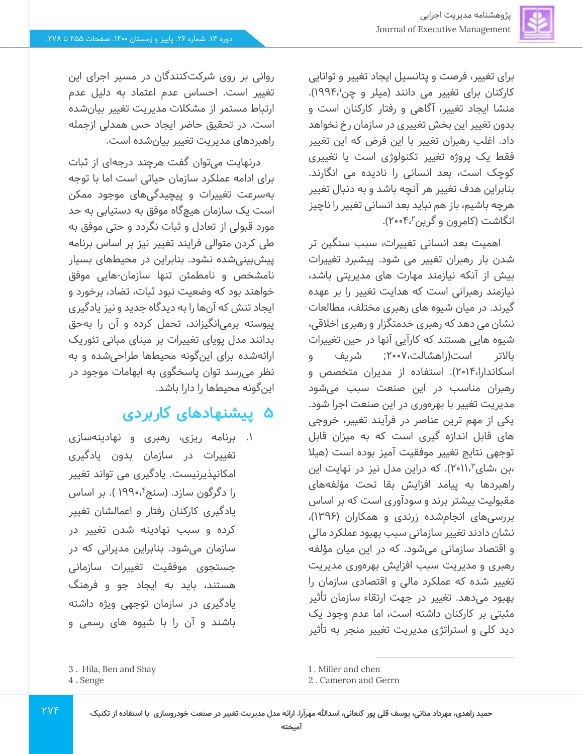برای تغییر، فرصت و پتانسیل ایجاد تغییر و توانایی کارکنان برای تغییر می دانند (میلر و چن $\mathsf{1}\mathsf{9}\mathsf{1}\mathsf{8}.$ منشا ایجاد تغییر، آگاهی و رفتار کارکنان است و بدون تغییر این بخش تغییری در سازمان رخ نخواهد داد. اغلب رهبران تغییر با این فرض که این تغییر فقط یک پروژه تغییر تکنولوژی است یا تغییری کوچک است، بعد انسانی را نادیده می انگارند. بنابراین هدف تغییر هر آنچه باشد و به دنبال تغییر هرچه باشیم، باز هم نباید بعد انسانی تغییر را ناچیز انگاشت (کامرون و گرین۲،۰۴،۰۲).

اهمیت بعد انسانی تغییرات، سبب سنگین تر شدن بار رهبران تغییر می شود. پیشبرد تغییرات بیش از آنکه نیازمند مهارت های مدیریتی باشد، نیازمند رهبرانی است که هدایت تغییر را بر عهده گیرند. در میان شیوه های رهبری مختلف، مطالعات نشان می دهد که رهبری خدمتگزار و رهبری اخالقی، شیوه هایی هستند که کارآیی آنها در حین تغییرات باالتر است)راهشالت2007،; شریف و اسکاندارا2014،(. استفاده از مدیران متخصص و رهبران مناسب در این صنعت سبب می شود مدیریت تغییر با بهره وری در این صنعت اجرا شود. یکی از مهم ترین عناصر در فرآیند تغییر، خروجی های قابل اندازه گیری است که به میزان قابل توجهی نتایج تغییر موفقیت آمیز بوده است )هیال بن ،شای ۲۰۱۱،<sup>۳</sup>). که دراین مدل نیز در نهایت این راهبردها به پیامد افزایش بقا تحت مؤلفه های مقبولیت بیشتر برند و سودآوری است که بر اساس بررسی های انجام شده زرندی و همکاران ) 1396(، نشان دادند تغییر سازمانی سبب بهبود عملکرد مالی و اقتصاد سازمانی می شود. که در این میان مؤلفه رهبری و مدیریت سبب افزایش بهرهوری مدیریت تغییر شده که عملکرد مالی و اقتصادی سازمان را بهبود می دهد. تغییر در جهت ارتقاء سازمان تأثیر مثبتی بر کارکنان داشته است، اما عدم وجود یک دید کلی و استراتژی مدیریت تغییر منجر به تأثیر

روانی بر روی شرکت کنندگان در مسیر اجرای این تغییر است. احساس عدم اعتماد به دلیل عدم ارتباط مستمر از مشکالت مدیریت تغییر بیان شده است. در تحقیق حاضر ایجاد حس همدلی ازجمله راهبردهای مدیریت تغییر بیانشده است.

درنهایت می توان گفت هرچند درجه ای از ثبات برای ادامه عملکرد سازمان حیاتی است اما با توجه بهسرعت تغییرات و پیچیدگیهای موجود ممکن است یک سازمان هیچ گاه موفق به دستیابی به حد مورد قبولی از تعادل و ثبات نگردد و حتی موفق به طی کردن متوالی فرایند تغییر نیز بر اساس برنامه پیش بینیشده نشود. بنابراین در محیط های بسیار نامشخص و نامطمئن تنها سازمان-هایی موفق خواهند بود که وضعیت نبود ثبات، تضاد، برخورد و ایجاد تنش که آن ها را به دیدگاه جدید و نیز یادگیری پیوسته برمی انگیزاند، تحمل کرده و آن را بهحق بدانند مدل پویای تغییرات بر مبنای مبانی تئوریک ارائهشده برای این گونه محیطها طراحی شده و به نظر می رسد توان پاسخگوی به ابهامات موجود در این گونه محیط ها را دارا باشد .

## **5 پیشنهادهای کاربردی**

.1 برنامه ریزی، رهبری و نهادینه سازی تغییرات در سازمان بدون یادگیری امکانپذیرنیست. یادگیری می تواند تغییر را دگرگون سازد. (سنج ٔ،۱۹۹۰). بر اساس یادگیری کارکنان رفتار و اعمالشان تغییر کرده و سبب نهادینه شدن تغییر در سازمان میشود. بنابراین مدیرانی که در جستجوی موفقیت تغییرات سازمانی هستند، باید به ایجاد جو و فرهنگ یادگیری در سازمان توجهی ویژه داشته باشند و آن را با شیوه های رسمی و

**774** 

1 . Miller and chen

<sup>3 .</sup> Hila, Ben and Shay

<sup>4</sup> . Senge

<sup>2</sup> . Cameron and Gerrn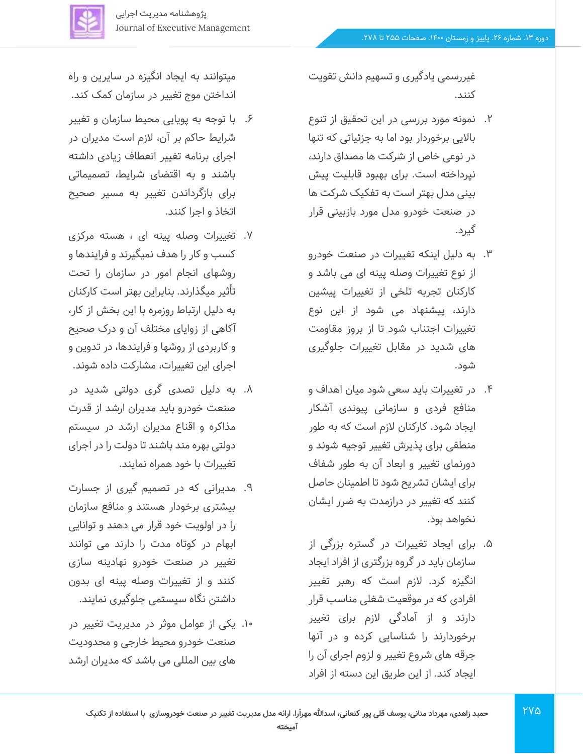

غیررسمی یادگیری و تسهیم دانش تقویت کنند.

- .2 نمونه مورد بررسی در این تحقیق از تنوع باالیی برخوردار بود اما به جزئیاتی که تنها در نوعی خاص از شرکت ها مصداق دارند، نپرداخته است. برای بهبود قابلیت پیش بینی مدل بهتر است به تفکیک شرکت ها در صنعت خودرو مدل مورد بازبینی قرار گیرد.
- .3 به دلیل اینکه تغییرات در صنعت خودرو از نوع تغییرات وصله پینه ای می باشد و کارکنان تجربه تلخی از تغییرات پیشین دارند، پیشنهاد می شود از این نوع تغییرات اجتناب شود تا از بروز مقاومت های شدید در مقابل تغییرات جلوگیری شود.
- ۴. در تغییرات باید سعی شود میان اهداف و منافع فردی و سازمانی پیوندی آشکار ایجاد شود. کارکنان الزم است که به طور منطقی برای پذ یرش تغییر توجیه شوند و دورنمای تغییر و ابعاد آن به طور شفاف برای ایشان تشریح شود تا اطمینان حاصل کنند که تغییر در درازمدت به ضرر ا یشان نخواهد بود.
- .5 برای ای جاد تغییرات در گستره بزرگی از سازمان باید در گروه بزرگتری از افراد ا یجاد انگیزه کرد. الزم است که رهبر تغییر افرادی که در موقعیت شغلی مناسب قرار دارند و از آمادگی لازم برای تغییر برخوردارند را شناسایی کرده و در آنها جرقه های شروع تغییر و لزوم اجرای آن را ایجاد کند. از این طریق این دسته از افراد

میتوانند به ایجاد انگیزه در سایرین و راه انداختن موج تغییر در سازمان کمک کند.

- ۶. با توجه به پویایی محیط سازمان و تغییر شرایط حاکم بر آن، لازم است مدیران در اجرای برنامه تغییر انعطاف زیادی داشته باشند و به اقتضای شرایط، تصمیماتی برای بازگرداندن تغییر به مسیر صحیح اتخاذ و اجرا کنند.
- .7 تغییرات وصله پینه ای ، هسته مرکزی کسب و کار را هدف نمیگیرند و فرا یندها و روشهای انجام امور در سازمان را تحت تأثیر میگذارند. بنابراین بهتر است کارکنان به دلیل ارتباط روزمره با ای ن بخش از کار، آکاهی از زوایای مختلف آن و درک صحیح و کاربردی از روشها و فرایندها، در تدوین و اجرای این تغییرات، مشارکت داده شوند.
- .8 به دلیل تصدی گری دولتی شدید در صنعت خودرو باید مدیران ارشد از قدرت مذاکره و اقناع مدیران ارشد در سیستم دولتی بهره مند باشند تا دولت را در اجرای تغییرات با خود همراه نمایند.
- .9 مدیرانی که در تصمیم گیری از جسارت بیشتری برخودار هستند و منافع سازمان را در اولویت خود قرار می د هند و توانایی ابهام در کوتاه مدت را دارند می توانند تغییر در صنعت خودرو نهادینه سازی کنند و از تغییرات وصله پینه ای بدون داشتن نگاه سیستمی جلوگیری نمایند.
- .10 یکی از عوامل موثر در مدیریت تغییر در صنعت خودرو محیط خارجی و محدودیت های بین المللی می باشد که مدیران ارشد

275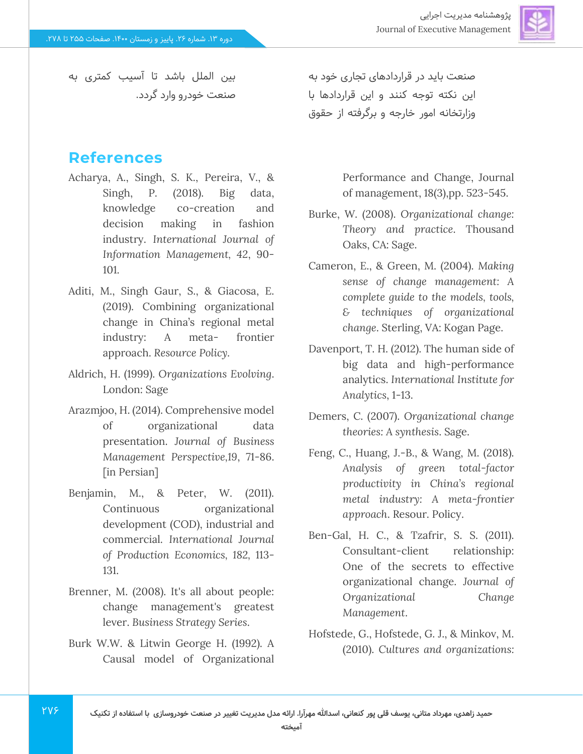

بین الملل باشد تا آسیب کمتری به صنعت خودرو وارد گردد.

### **References**

- Acharya, A., Singh, S. K., Pereira, V., & Singh, P. (2018). Big data, knowledge co-creation and decision making in fashion industry. *International Journal of Information Management, 42*, 90- 101.
- Aditi, M., Singh Gaur, S., & Giacosa, E. (2019). Combining organizational change in China's regional metal industry: A meta- frontier approach. *Resource Policy.*
- Aldrich, H. (1999). *Organizations Evolving*. London: Sage
- Arazmjoo, H. (2014). Comprehensive model of organizational data presentation. *Journal of Business Management Perspective,19*, 71-86. [in Persian]
- Benjamin, M., & Peter, W. (2011). Continuous organizational development (COD), industrial and commercial. *International Journal of Production Economics, 182,* 113- 131.
- Brenner, M. (2008). It's all about people: change management's greatest lever. *Business Strategy Series*.
- Burk W.W. & Litwin George H. (1992). A Causal model of Organizational

**7V۶** 

صنعت باید در قراردادهای تجاری خود به این نکته توجه کنند و این قراردادها با وزارتخانه امور خارجه و برگرفته از حقوق

> Performance and Change, Journal of management, 18(3),pp. 523-545.

- Burke, W. (2008). *Organizational change: Theory and practice*. Thousand Oaks, CA: Sage.
- Cameron, E., & Green, M. (2004). *Making sense of change management: A complete guide to the models, tools, & techniques of organizational change*. Sterling, VA: Kogan Page.
- Davenport, T. H. (2012). The human side of big data and high-performance analytics. *International Institute for Analytics*, 1-13.
- Demers, C. (2007). *Organizational change theories: A synthesis*. Sage.
- Feng, C., Huang, J.-B., & Wang, M. (2018). *Analysis of green total-factor productivity in China's regional metal industry: A meta-frontier approach*. Resour. Policy.
- Ben‐Gal, H. C., & Tzafrir, S. S. (2011). Consultant-client relationship: One of the secrets to effective organizational change. *Journal of Organizational Change Management*.
- Hofstede, G., Hofstede, G. J., & Minkov, M. (2010). *Cultures and organizations:*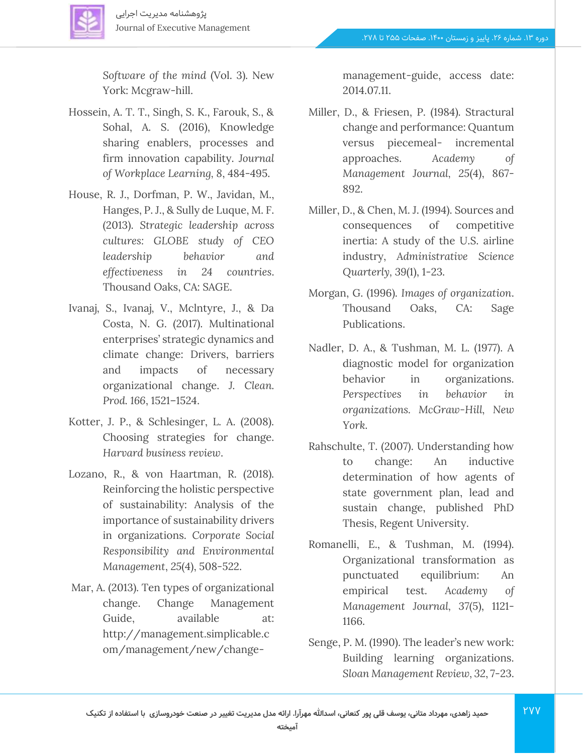

*Software of the mind* (Vol. 3). New York: Mcgraw-hill.

- Hossein, A. T. T., Singh, S. K., Farouk, S., & Sohal, A. S. (2016), Knowledge sharing enablers, processes and firm innovation capability. *Journal of Workplace Learning, 8*, 484-495.
- House, R. J., Dorfman, P. W., Javidan, M., Hanges, P. J., & Sully de Luque, M. F. (2013). *Strategic leadership across cultures: GLOBE study of CEO leadership behavior and effectiveness in 24 countries*. Thousand Oaks, CA: SAGE.
- Ivanaj, S., Ivanaj, V., Mclntyre, J., & Da Costa, N. G. (2017). Multinational enterprises' strategic dynamics and climate change: Drivers, barriers and impacts of necessary organizational change. *J. Clean. Prod. 166*, 1521–1524.
- Kotter, J. P., & Schlesinger, L. A. (2008). Choosing strategies for change. *Harvard business review*.
- Lozano, R., & von Haartman, R. (2018). Reinforcing the holistic perspective of sustainability: Analysis of the importance of sustainability drivers in organizations. *Corporate Social Responsibility and Environmental Management*, *25*(4), 508-522.
- Mar, A. (2013). Ten types of organizational change. Change Management Guide, available at: http://management.simplicable.c om/management/new/change-

management-guide, access date: 2014.07.11.

- Miller, D., & Friesen, P. (1984). Stractural change and performance: Quantum versus piecemeal- incremental approaches. *Academy of Management Journal, 25*(4), 867- 892.
- Miller, D., & Chen, M. J. (1994). Sources and consequences of competitive inertia: A study of the U.S. airline industry, *Administrative Science Quarterly, 39*(1), 1-23.
- Morgan, G. (1996). *Images of organization*. Thousand Oaks, CA: Sage Publications.
- Nadler, D. A., & Tushman, M. L. (1977). A diagnostic model for organization behavior in organizations. *Perspectives in behavior in organizations. McGraw-Hill, New York*.
- Rahschulte, T. (2007). Understanding how to change: An inductive determination of how agents of state government plan, lead and sustain change, published PhD Thesis, Regent University.
- Romanelli, E., & Tushman, M. (1994). Organizational transformation as punctuated equilibrium: An empirical test. *Academy of Management Journal, 37*(5), 1121- 1166.
- Senge, P. M. (1990). The leader's new work: Building learning organizations. *Sloan Management Review, 32*, 7-23.